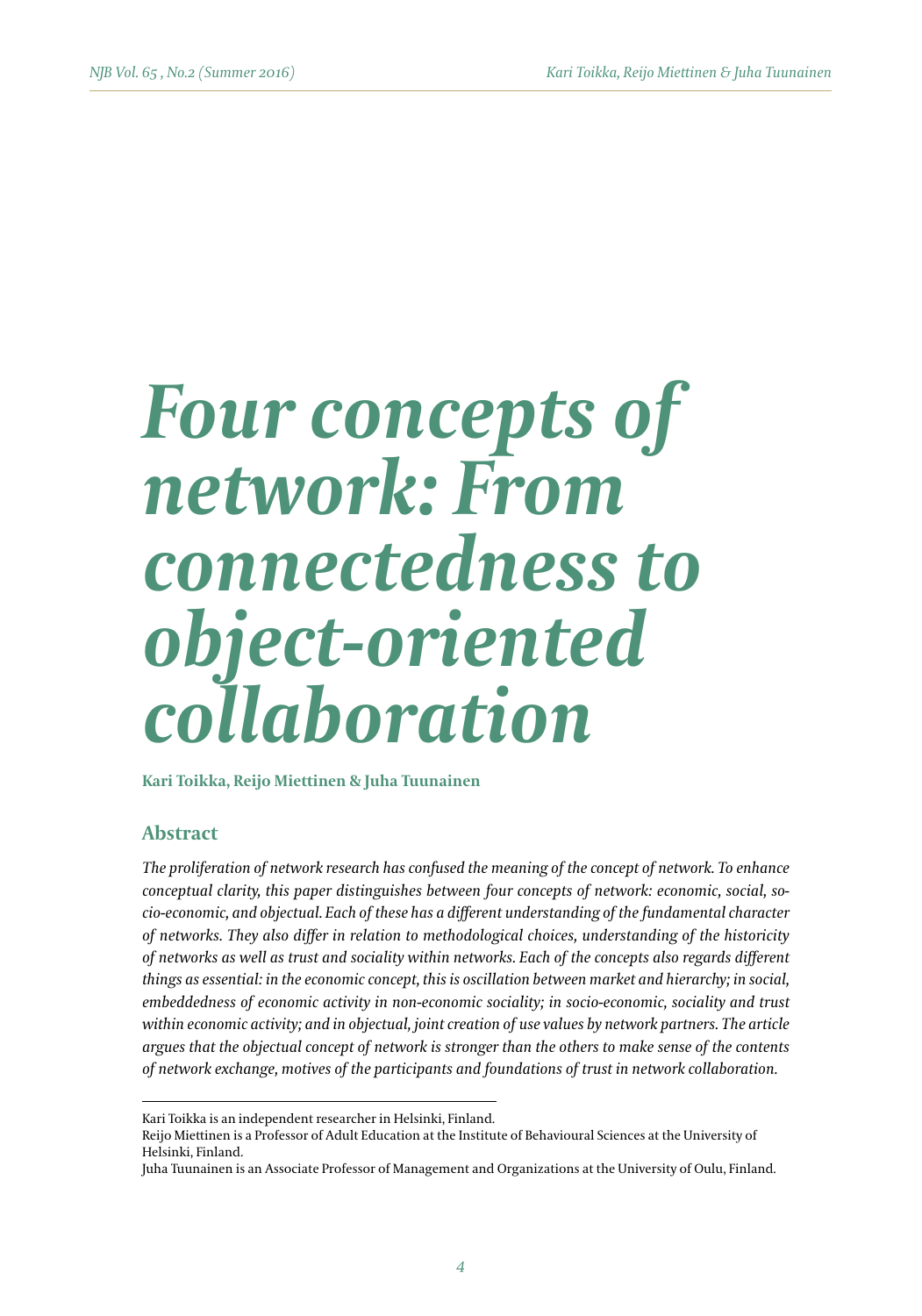# *Four concepts of network: From connectedness to object-oriented collaboration*

**Kari Toikka, Reijo Miettinen & Juha Tuunainen**

## **Abstract**

*The proliferation of network research has confused the meaning of the concept of network. To enhance conceptual clarity, this paper distinguishes between four concepts of network: economic, social, socio-economic, and objectual. Each of these has a different understanding of the fundamental character of networks. They also differ in relation to methodological choices, understanding of the historicity of networks as well as trust and sociality within networks. Each of the concepts also regards different things as essential: in the economic concept, this is oscillation between market and hierarchy; in social, embeddedness of economic activity in non-economic sociality; in socio-economic, sociality and trust within economic activity; and in objectual, joint creation of use values by network partners. The article argues that the objectual concept of network is stronger than the others to make sense of the contents of network exchange, motives of the participants and foundations of trust in network collaboration.*

Kari Toikka is an independent researcher in Helsinki, Finland.

Reijo Miettinen is a Professor of Adult Education at the Institute of Behavioural Sciences at the University of Helsinki, Finland.

Juha Tuunainen is an Associate Professor of Management and Organizations at the University of Oulu, Finland.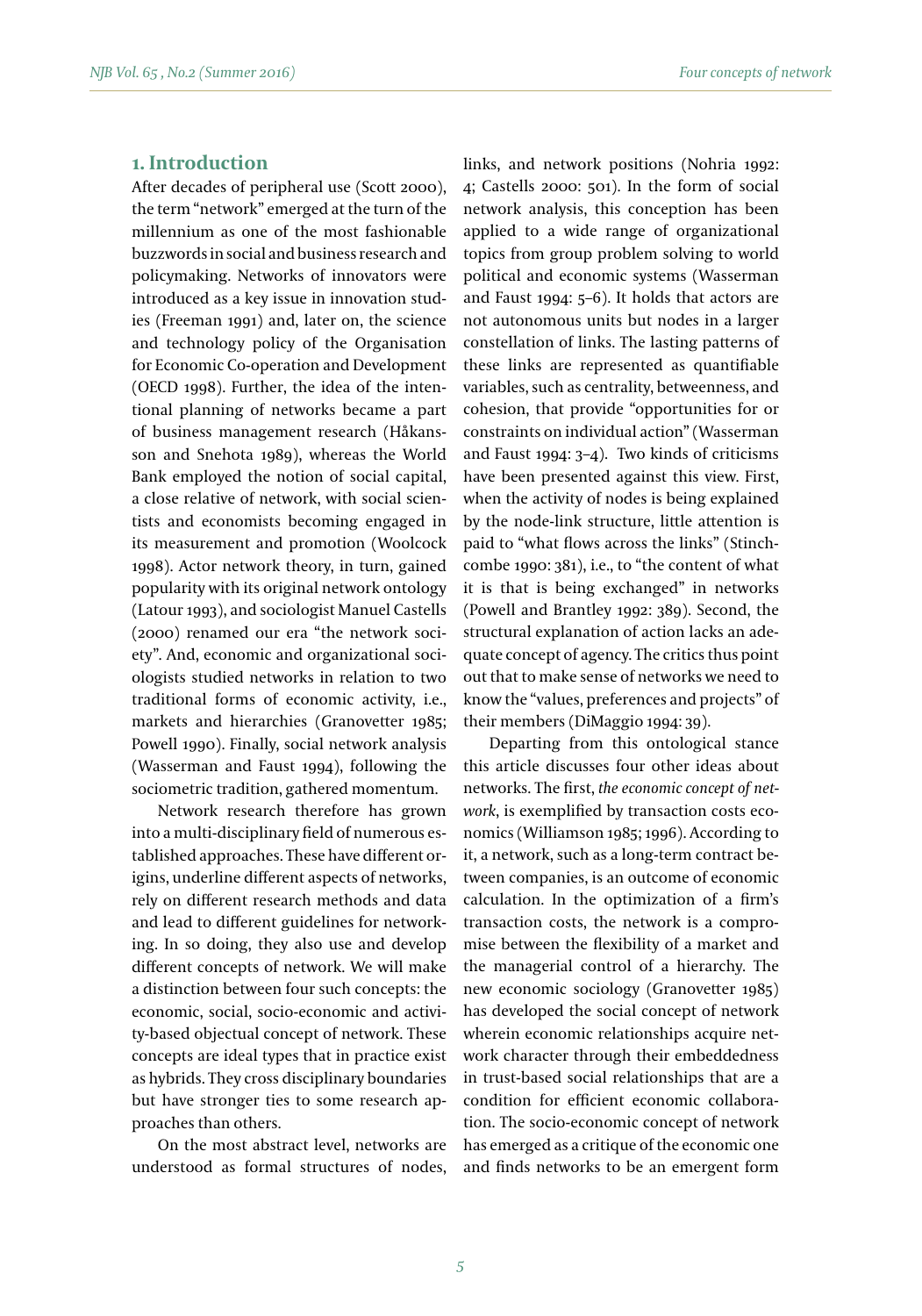## **1. Introduction**

After decades of peripheral use (Scott 2000), the term "network" emerged at the turn of the millennium as one of the most fashionable buzzwords in social and business research and policymaking. Networks of innovators were introduced as a key issue in innovation studies (Freeman 1991) and, later on, the science and technology policy of the Organisation for Economic Co-operation and Development (OECD 1998). Further, the idea of the intentional planning of networks became a part of business management research (Håkansson and Snehota 1989), whereas the World Bank employed the notion of social capital, a close relative of network, with social scientists and economists becoming engaged in its measurement and promotion (Woolcock 1998). Actor network theory, in turn, gained popularity with its original network ontology (Latour 1993), and sociologist Manuel Castells (2000) renamed our era "the network society". And, economic and organizational sociologists studied networks in relation to two traditional forms of economic activity, i.e., markets and hierarchies (Granovetter 1985; Powell 1990). Finally, social network analysis (Wasserman and Faust 1994), following the sociometric tradition, gathered momentum.

Network research therefore has grown into a multi-disciplinary field of numerous established approaches. These have different origins, underline different aspects of networks, rely on different research methods and data and lead to different guidelines for networking. In so doing, they also use and develop different concepts of network. We will make a distinction between four such concepts: the economic, social, socio-economic and activity-based objectual concept of network. These concepts are ideal types that in practice exist as hybrids. They cross disciplinary boundaries but have stronger ties to some research approaches than others.

On the most abstract level, networks are understood as formal structures of nodes, links, and network positions (Nohria 1992: 4; Castells 2000: 501). In the form of social network analysis, this conception has been applied to a wide range of organizational topics from group problem solving to world political and economic systems (Wasserman and Faust 1994: 5–6). It holds that actors are not autonomous units but nodes in a larger constellation of links. The lasting patterns of these links are represented as quantifiable variables, such as centrality, betweenness, and cohesion, that provide "opportunities for or constraints on individual action" (Wasserman and Faust 1994: 3–4). Two kinds of criticisms have been presented against this view. First, when the activity of nodes is being explained by the node-link structure, little attention is paid to "what flows across the links" (Stinchcombe 1990: 381), i.e., to "the content of what it is that is being exchanged" in networks (Powell and Brantley 1992: 389). Second, the structural explanation of action lacks an adequate concept of agency. The critics thus point out that to make sense of networks we need to know the "values, preferences and projects" of their members (DiMaggio 1994: 39).

Departing from this ontological stance this article discusses four other ideas about networks. The first, *the economic concept of network*, is exemplified by transaction costs economics (Williamson 1985; 1996). According to it, a network, such as a long-term contract between companies, is an outcome of economic calculation. In the optimization of a firm's transaction costs, the network is a compromise between the flexibility of a market and the managerial control of a hierarchy. The new economic sociology (Granovetter 1985) has developed the social concept of network wherein economic relationships acquire network character through their embeddedness in trust-based social relationships that are a condition for efficient economic collaboration. The socio-economic concept of network has emerged as a critique of the economic one and finds networks to be an emergent form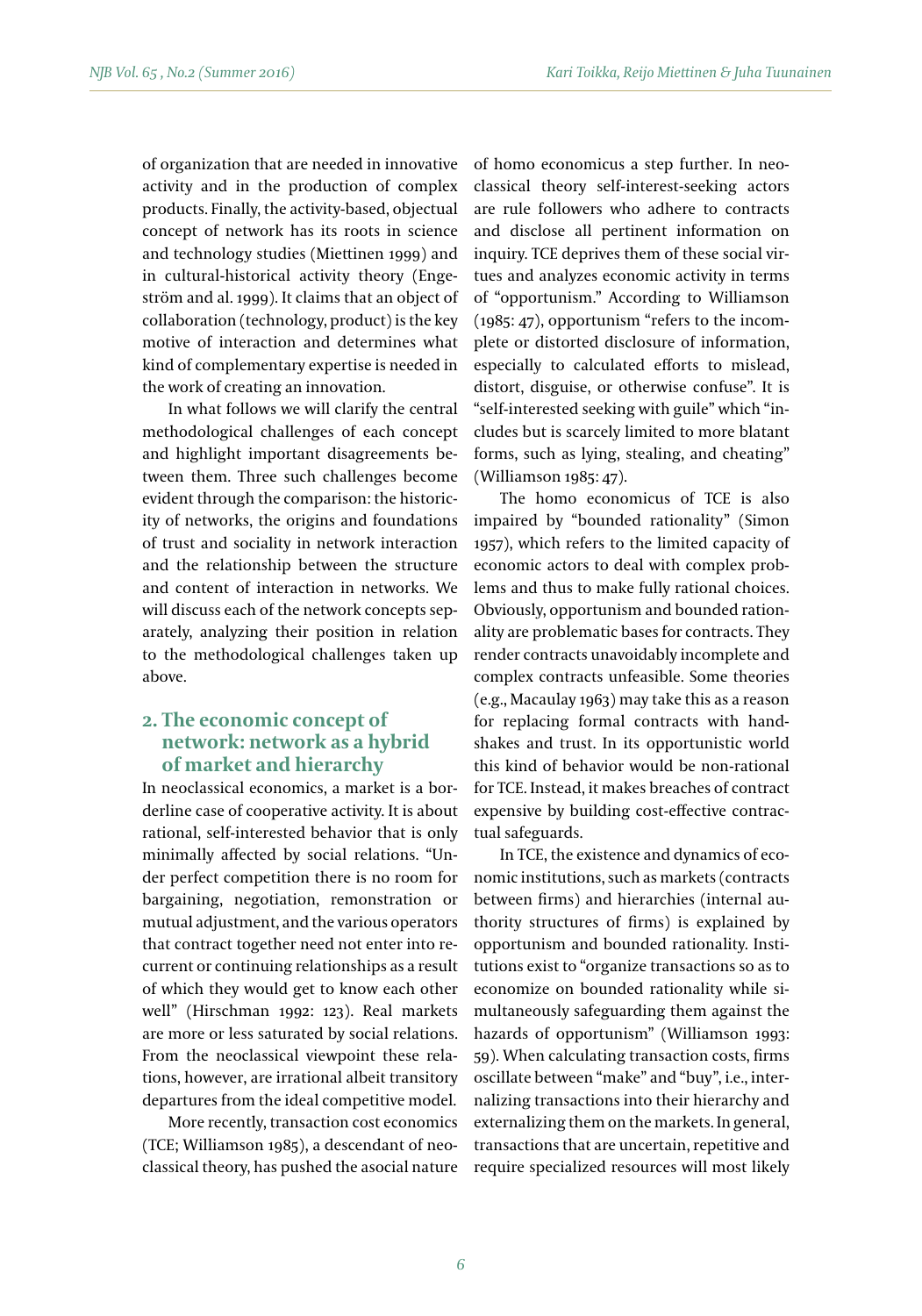of organization that are needed in innovative activity and in the production of complex products. Finally, the activity-based, objectual concept of network has its roots in science and technology studies (Miettinen 1999) and in cultural-historical activity theory (Engeström and al. 1999). It claims that an object of collaboration (technology, product) is the key motive of interaction and determines what kind of complementary expertise is needed in the work of creating an innovation.

In what follows we will clarify the central methodological challenges of each concept and highlight important disagreements between them. Three such challenges become evident through the comparison: the historicity of networks, the origins and foundations of trust and sociality in network interaction and the relationship between the structure and content of interaction in networks. We will discuss each of the network concepts separately, analyzing their position in relation to the methodological challenges taken up above.

# **2. The economic concept of network: network as a hybrid of market and hierarchy**

In neoclassical economics, a market is a borderline case of cooperative activity. It is about rational, self-interested behavior that is only minimally affected by social relations. "Under perfect competition there is no room for bargaining, negotiation, remonstration or mutual adjustment, and the various operators that contract together need not enter into recurrent or continuing relationships as a result of which they would get to know each other well" (Hirschman 1992: 123). Real markets are more or less saturated by social relations. From the neoclassical viewpoint these relations, however, are irrational albeit transitory departures from the ideal competitive model.

More recently, transaction cost economics (TCE; Williamson 1985), a descendant of neoclassical theory, has pushed the asocial nature

of homo economicus a step further. In neoclassical theory self-interest-seeking actors are rule followers who adhere to contracts and disclose all pertinent information on inquiry. TCE deprives them of these social virtues and analyzes economic activity in terms of "opportunism." According to Williamson (1985: 47), opportunism "refers to the incomplete or distorted disclosure of information, especially to calculated efforts to mislead, distort, disguise, or otherwise confuse". It is "self-interested seeking with guile" which "includes but is scarcely limited to more blatant forms, such as lying, stealing, and cheating" (Williamson 1985: 47).

The homo economicus of TCE is also impaired by "bounded rationality" (Simon 1957), which refers to the limited capacity of economic actors to deal with complex problems and thus to make fully rational choices. Obviously, opportunism and bounded rationality are problematic bases for contracts. They render contracts unavoidably incomplete and complex contracts unfeasible. Some theories (e.g., Macaulay 1963) may take this as a reason for replacing formal contracts with handshakes and trust. In its opportunistic world this kind of behavior would be non-rational for TCE. Instead, it makes breaches of contract expensive by building cost-effective contractual safeguards.

In TCE, the existence and dynamics of economic institutions, such as markets (contracts between firms) and hierarchies (internal authority structures of firms) is explained by opportunism and bounded rationality. Institutions exist to "organize transactions so as to economize on bounded rationality while simultaneously safeguarding them against the hazards of opportunism" (Williamson 1993: 59). When calculating transaction costs, firms oscillate between "make" and "buy", i.e., internalizing transactions into their hierarchy and externalizing them on the markets. In general, transactions that are uncertain, repetitive and require specialized resources will most likely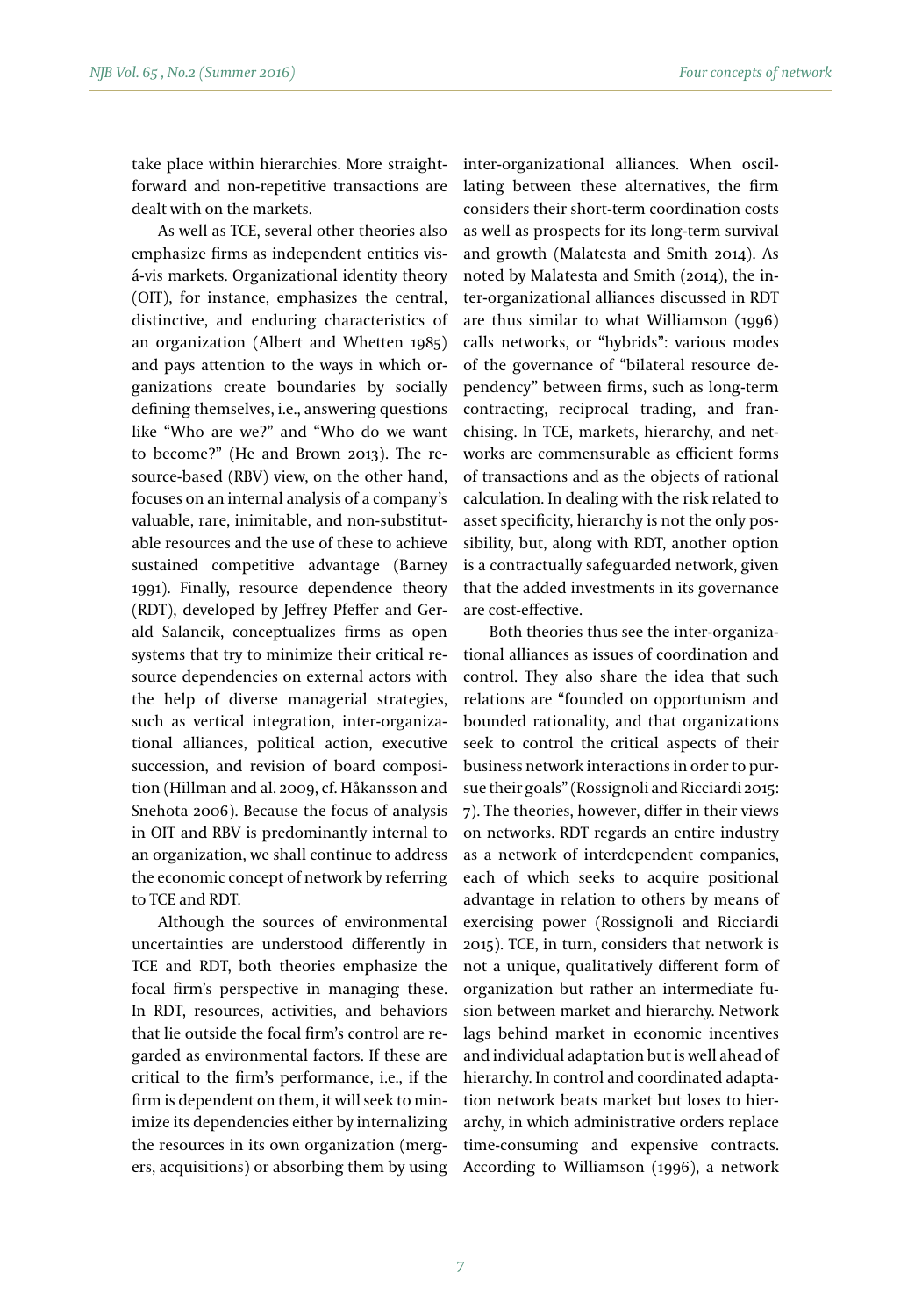take place within hierarchies. More straightforward and non-repetitive transactions are dealt with on the markets.

As well as TCE, several other theories also emphasize firms as independent entities visá-vis markets. Organizational identity theory (OIT), for instance, emphasizes the central, distinctive, and enduring characteristics of an organization (Albert and Whetten 1985) and pays attention to the ways in which organizations create boundaries by socially defining themselves, i.e., answering questions like "Who are we?" and "Who do we want to become?" (He and Brown 2013). The resource-based (RBV) view, on the other hand, focuses on an internal analysis of a company's valuable, rare, inimitable, and non-substitutable resources and the use of these to achieve sustained competitive advantage (Barney 1991). Finally, resource dependence theory (RDT), developed by Jeffrey Pfeffer and Gerald Salancik, conceptualizes firms as open systems that try to minimize their critical resource dependencies on external actors with the help of diverse managerial strategies, such as vertical integration, inter-organizational alliances, political action, executive succession, and revision of board composition (Hillman and al. 2009, cf. Håkansson and Snehota 2006). Because the focus of analysis in OIT and RBV is predominantly internal to an organization, we shall continue to address the economic concept of network by referring to TCE and RDT.

Although the sources of environmental uncertainties are understood differently in TCE and RDT, both theories emphasize the focal firm's perspective in managing these. In RDT, resources, activities, and behaviors that lie outside the focal firm's control are regarded as environmental factors. If these are critical to the firm's performance, i.e., if the firm is dependent on them, it will seek to minimize its dependencies either by internalizing the resources in its own organization (mergers, acquisitions) or absorbing them by using inter-organizational alliances. When oscillating between these alternatives, the firm considers their short-term coordination costs as well as prospects for its long-term survival and growth (Malatesta and Smith 2014). As noted by Malatesta and Smith (2014), the inter-organizational alliances discussed in RDT are thus similar to what Williamson (1996) calls networks, or "hybrids": various modes of the governance of "bilateral resource dependency" between firms, such as long-term contracting, reciprocal trading, and franchising. In TCE, markets, hierarchy, and networks are commensurable as efficient forms of transactions and as the objects of rational calculation. In dealing with the risk related to asset specificity, hierarchy is not the only possibility, but, along with RDT, another option is a contractually safeguarded network, given that the added investments in its governance are cost-effective.

Both theories thus see the inter-organizational alliances as issues of coordination and control. They also share the idea that such relations are "founded on opportunism and bounded rationality, and that organizations seek to control the critical aspects of their business network interactions in order to pursue their goals" (Rossignoli and Ricciardi 2015: 7). The theories, however, differ in their views on networks. RDT regards an entire industry as a network of interdependent companies, each of which seeks to acquire positional advantage in relation to others by means of exercising power (Rossignoli and Ricciardi 2015). TCE, in turn, considers that network is not a unique, qualitatively different form of organization but rather an intermediate fusion between market and hierarchy. Network lags behind market in economic incentives and individual adaptation but is well ahead of hierarchy. In control and coordinated adaptation network beats market but loses to hierarchy, in which administrative orders replace time-consuming and expensive contracts. According to Williamson (1996), a network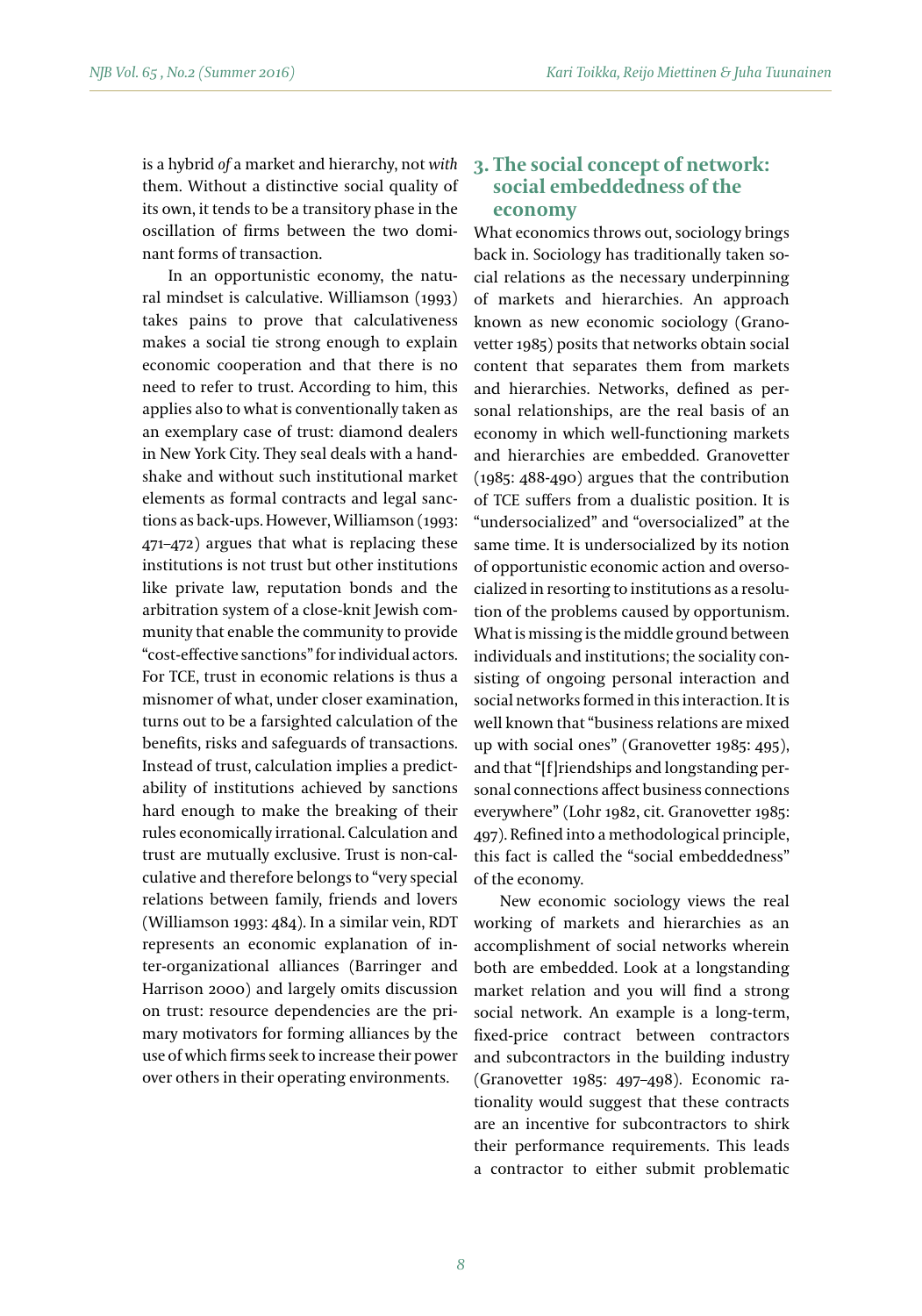is a hybrid *of* a market and hierarchy, not *with* them. Without a distinctive social quality of its own, it tends to be a transitory phase in the oscillation of firms between the two dominant forms of transaction.

In an opportunistic economy, the natural mindset is calculative. Williamson (1993) takes pains to prove that calculativeness makes a social tie strong enough to explain economic cooperation and that there is no need to refer to trust. According to him, this applies also to what is conventionally taken as an exemplary case of trust: diamond dealers in New York City. They seal deals with a handshake and without such institutional market elements as formal contracts and legal sanctions as back-ups. However, Williamson (1993: 471–472) argues that what is replacing these institutions is not trust but other institutions like private law, reputation bonds and the arbitration system of a close-knit Jewish community that enable the community to provide "cost-effective sanctions" for individual actors. For TCE, trust in economic relations is thus a misnomer of what, under closer examination, turns out to be a farsighted calculation of the benefits, risks and safeguards of transactions. Instead of trust, calculation implies a predictability of institutions achieved by sanctions hard enough to make the breaking of their rules economically irrational. Calculation and trust are mutually exclusive. Trust is non-calculative and therefore belongs to "very special relations between family, friends and lovers (Williamson 1993: 484). In a similar vein, RDT represents an economic explanation of inter-organizational alliances (Barringer and Harrison 2000) and largely omits discussion on trust: resource dependencies are the primary motivators for forming alliances by the use of which firms seek to increase their power over others in their operating environments.

# **3. The social concept of network: social embeddedness of the economy**

What economics throws out, sociology brings back in. Sociology has traditionally taken social relations as the necessary underpinning of markets and hierarchies. An approach known as new economic sociology (Granovetter 1985) posits that networks obtain social content that separates them from markets and hierarchies. Networks, defined as personal relationships, are the real basis of an economy in which well-functioning markets and hierarchies are embedded. Granovetter (1985: 488-490) argues that the contribution of TCE suffers from a dualistic position. It is "undersocialized" and "oversocialized" at the same time. It is undersocialized by its notion of opportunistic economic action and oversocialized in resorting to institutions as a resolution of the problems caused by opportunism. What is missing is the middle ground between individuals and institutions; the sociality consisting of ongoing personal interaction and social networks formed in this interaction. It is well known that "business relations are mixed up with social ones" (Granovetter 1985: 495), and that "[f]riendships and longstanding personal connections affect business connections everywhere" (Lohr 1982, cit. Granovetter 1985: 497). Refined into a methodological principle, this fact is called the "social embeddedness" of the economy.

New economic sociology views the real working of markets and hierarchies as an accomplishment of social networks wherein both are embedded. Look at a longstanding market relation and you will find a strong social network. An example is a long-term, fixed-price contract between contractors and subcontractors in the building industry (Granovetter 1985: 497–498). Economic rationality would suggest that these contracts are an incentive for subcontractors to shirk their performance requirements. This leads a contractor to either submit problematic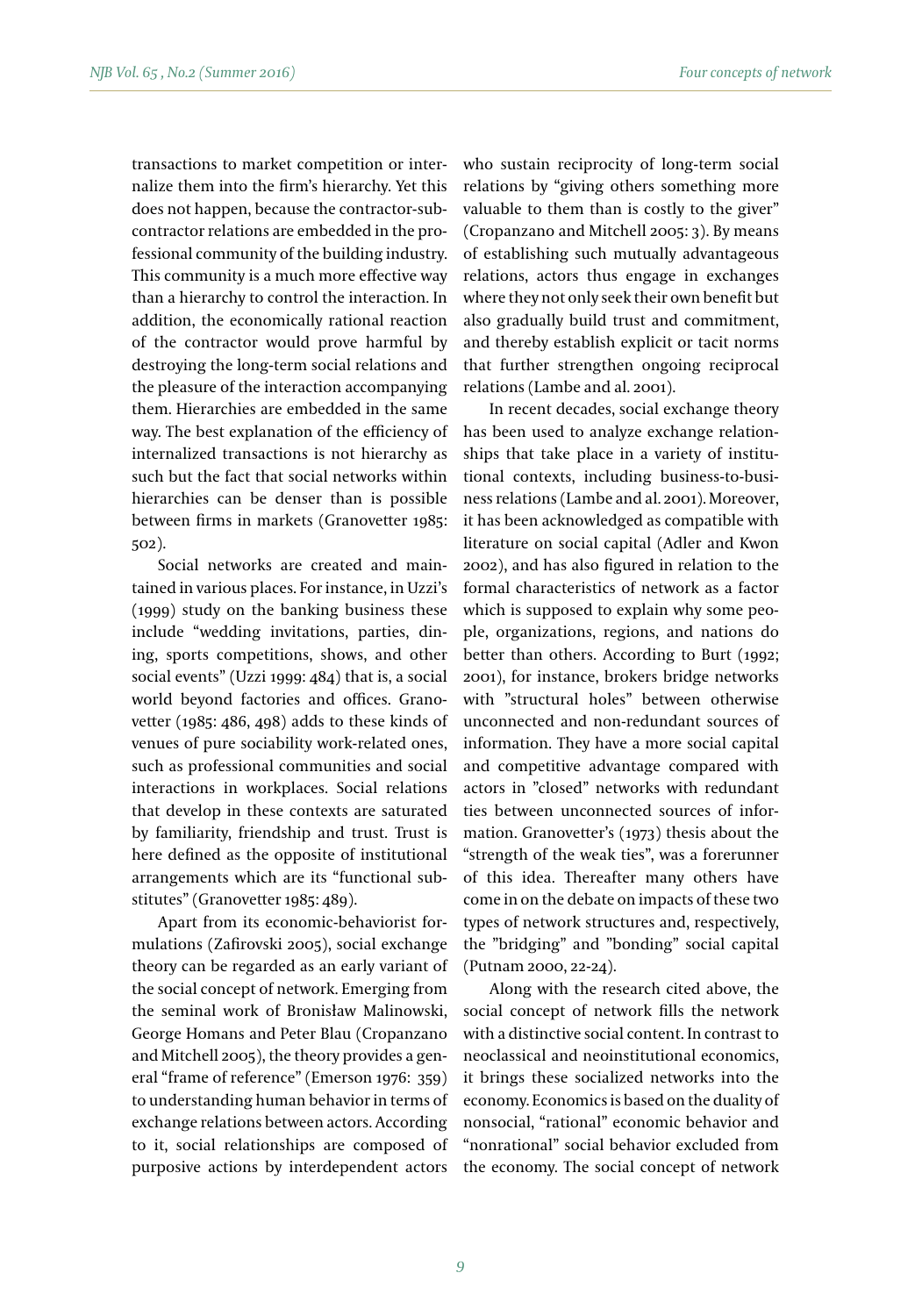transactions to market competition or internalize them into the firm's hierarchy. Yet this does not happen, because the contractor-subcontractor relations are embedded in the professional community of the building industry. This community is a much more effective way than a hierarchy to control the interaction. In addition, the economically rational reaction of the contractor would prove harmful by destroying the long-term social relations and the pleasure of the interaction accompanying them. Hierarchies are embedded in the same way. The best explanation of the efficiency of internalized transactions is not hierarchy as such but the fact that social networks within hierarchies can be denser than is possible between firms in markets (Granovetter 1985: 502).

Social networks are created and maintained in various places. For instance, in Uzzi's (1999) study on the banking business these include "wedding invitations, parties, dining, sports competitions, shows, and other social events" (Uzzi 1999: 484) that is, a social world beyond factories and offices. Granovetter (1985: 486, 498) adds to these kinds of venues of pure sociability work-related ones, such as professional communities and social interactions in workplaces. Social relations that develop in these contexts are saturated by familiarity, friendship and trust. Trust is here defined as the opposite of institutional arrangements which are its "functional substitutes" (Granovetter 1985: 489).

Apart from its economic-behaviorist formulations (Zafirovski 2005), social exchange theory can be regarded as an early variant of the social concept of network. Emerging from the seminal work of Bronisław Malinowski, George Homans and Peter Blau (Cropanzano and Mitchell 2005), the theory provides a general "frame of reference" (Emerson 1976: 359) to understanding human behavior in terms of exchange relations between actors. According to it, social relationships are composed of purposive actions by interdependent actors

who sustain reciprocity of long-term social relations by "giving others something more valuable to them than is costly to the giver" (Cropanzano and Mitchell 2005: 3). By means of establishing such mutually advantageous relations, actors thus engage in exchanges where they not only seek their own benefit but also gradually build trust and commitment, and thereby establish explicit or tacit norms that further strengthen ongoing reciprocal relations (Lambe and al. 2001).

In recent decades, social exchange theory has been used to analyze exchange relationships that take place in a variety of institutional contexts, including business-to-business relations (Lambe and al. 2001). Moreover, it has been acknowledged as compatible with literature on social capital (Adler and Kwon 2002), and has also figured in relation to the formal characteristics of network as a factor which is supposed to explain why some people, organizations, regions, and nations do better than others. According to Burt (1992; 2001), for instance, brokers bridge networks with "structural holes" between otherwise unconnected and non-redundant sources of information. They have a more social capital and competitive advantage compared with actors in "closed" networks with redundant ties between unconnected sources of information. Granovetter's (1973) thesis about the "strength of the weak ties", was a forerunner of this idea. Thereafter many others have come in on the debate on impacts of these two types of network structures and, respectively, the "bridging" and "bonding" social capital (Putnam 2000, 22-24).

Along with the research cited above, the social concept of network fills the network with a distinctive social content. In contrast to neoclassical and neoinstitutional economics, it brings these socialized networks into the economy. Economics is based on the duality of nonsocial, "rational" economic behavior and "nonrational" social behavior excluded from the economy. The social concept of network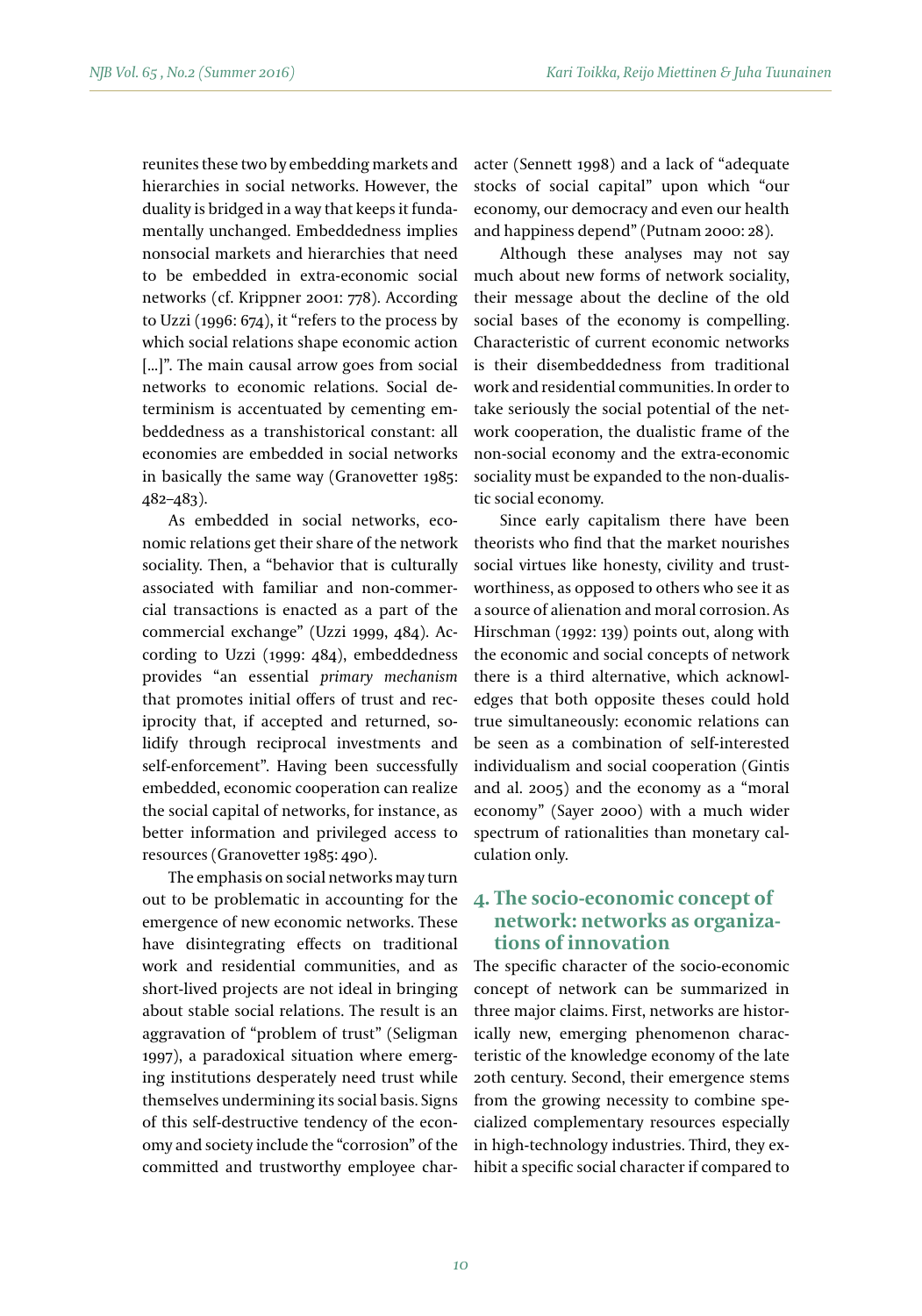reunites these two by embedding markets and hierarchies in social networks. However, the duality is bridged in a way that keeps it fundamentally unchanged. Embeddedness implies nonsocial markets and hierarchies that need to be embedded in extra-economic social networks (cf. Krippner 2001: 778). According to Uzzi (1996: 674), it "refers to the process by which social relations shape economic action [...]". The main causal arrow goes from social networks to economic relations. Social determinism is accentuated by cementing embeddedness as a transhistorical constant: all economies are embedded in social networks in basically the same way (Granovetter 1985: 482–483).

As embedded in social networks, economic relations get their share of the network sociality. Then, a "behavior that is culturally associated with familiar and non-commercial transactions is enacted as a part of the commercial exchange" (Uzzi 1999, 484). According to Uzzi (1999: 484), embeddedness provides "an essential *primary mechanism*  that promotes initial offers of trust and reciprocity that, if accepted and returned, solidify through reciprocal investments and self-enforcement". Having been successfully embedded, economic cooperation can realize the social capital of networks, for instance, as better information and privileged access to resources (Granovetter 1985: 490).

The emphasis on social networks may turn out to be problematic in accounting for the emergence of new economic networks. These have disintegrating effects on traditional work and residential communities, and as short-lived projects are not ideal in bringing about stable social relations. The result is an aggravation of "problem of trust" (Seligman 1997), a paradoxical situation where emerging institutions desperately need trust while themselves undermining its social basis. Signs of this self-destructive tendency of the economy and society include the "corrosion" of the committed and trustworthy employee character (Sennett 1998) and a lack of "adequate stocks of social capital" upon which "our economy, our democracy and even our health and happiness depend" (Putnam 2000: 28).

Although these analyses may not say much about new forms of network sociality, their message about the decline of the old social bases of the economy is compelling. Characteristic of current economic networks is their disembeddedness from traditional work and residential communities. In order to take seriously the social potential of the network cooperation, the dualistic frame of the non-social economy and the extra-economic sociality must be expanded to the non-dualistic social economy.

Since early capitalism there have been theorists who find that the market nourishes social virtues like honesty, civility and trustworthiness, as opposed to others who see it as a source of alienation and moral corrosion. As Hirschman (1992: 139) points out, along with the economic and social concepts of network there is a third alternative, which acknowledges that both opposite theses could hold true simultaneously: economic relations can be seen as a combination of self-interested individualism and social cooperation (Gintis and al. 2005) and the economy as a "moral economy" (Sayer 2000) with a much wider spectrum of rationalities than monetary calculation only.

## **4. The socio-economic concept of network: networks as organizations of innovation**

The specific character of the socio-economic concept of network can be summarized in three major claims. First, networks are historically new, emerging phenomenon characteristic of the knowledge economy of the late 20th century. Second, their emergence stems from the growing necessity to combine specialized complementary resources especially in high-technology industries. Third, they exhibit a specific social character if compared to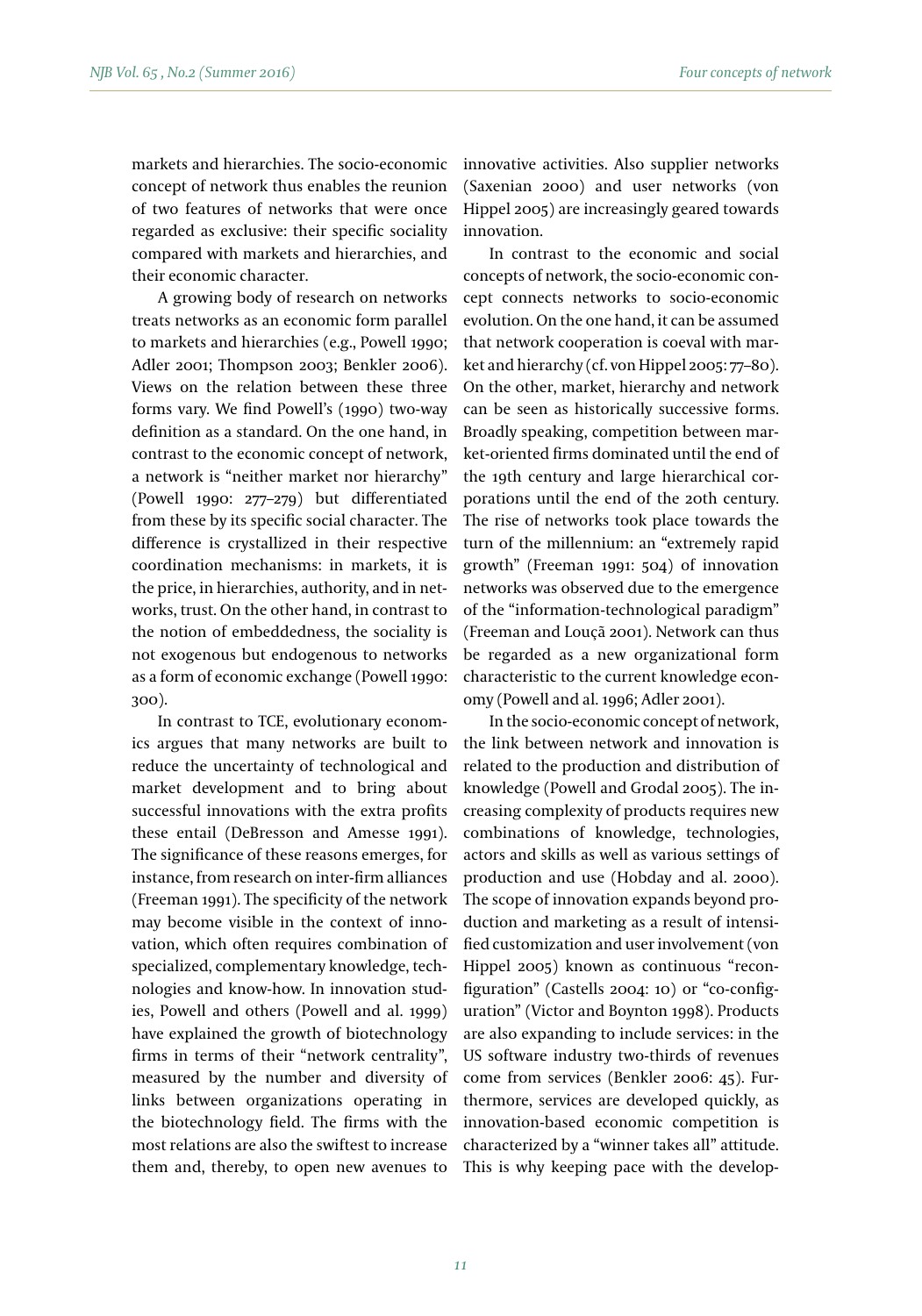markets and hierarchies. The socio-economic concept of network thus enables the reunion of two features of networks that were once regarded as exclusive: their specific sociality compared with markets and hierarchies, and their economic character.

A growing body of research on networks treats networks as an economic form parallel to markets and hierarchies (e.g., Powell 1990; Adler 2001; Thompson 2003; Benkler 2006). Views on the relation between these three forms vary. We find Powell's (1990) two-way definition as a standard. On the one hand, in contrast to the economic concept of network, a network is "neither market nor hierarchy" (Powell 1990: 277–279) but differentiated from these by its specific social character. The difference is crystallized in their respective coordination mechanisms: in markets, it is the price, in hierarchies, authority, and in networks, trust. On the other hand, in contrast to the notion of embeddedness, the sociality is not exogenous but endogenous to networks as a form of economic exchange (Powell 1990: 300).

In contrast to TCE, evolutionary economics argues that many networks are built to reduce the uncertainty of technological and market development and to bring about successful innovations with the extra profits these entail (DeBresson and Amesse 1991). The significance of these reasons emerges, for instance, from research on inter-firm alliances (Freeman 1991). The specificity of the network may become visible in the context of innovation, which often requires combination of specialized, complementary knowledge, technologies and know-how. In innovation studies, Powell and others (Powell and al. 1999) have explained the growth of biotechnology firms in terms of their "network centrality", measured by the number and diversity of links between organizations operating in the biotechnology field. The firms with the most relations are also the swiftest to increase them and, thereby, to open new avenues to

innovative activities. Also supplier networks (Saxenian 2000) and user networks (von Hippel 2005) are increasingly geared towards innovation.

In contrast to the economic and social concepts of network, the socio-economic concept connects networks to socio-economic evolution. On the one hand, it can be assumed that network cooperation is coeval with market and hierarchy (cf. von Hippel 2005: 77–80). On the other, market, hierarchy and network can be seen as historically successive forms. Broadly speaking, competition between market-oriented firms dominated until the end of the 19th century and large hierarchical corporations until the end of the 20th century. The rise of networks took place towards the turn of the millennium: an "extremely rapid growth" (Freeman 1991: 504) of innovation networks was observed due to the emergence of the "information-technological paradigm" (Freeman and Louçã 2001). Network can thus be regarded as a new organizational form characteristic to the current knowledge economy (Powell and al. 1996; Adler 2001).

In the socio-economic concept of network, the link between network and innovation is related to the production and distribution of knowledge (Powell and Grodal 2005). The increasing complexity of products requires new combinations of knowledge, technologies, actors and skills as well as various settings of production and use (Hobday and al. 2000). The scope of innovation expands beyond production and marketing as a result of intensified customization and user involvement (von Hippel 2005) known as continuous "reconfiguration" (Castells 2004: 10) or "co-configuration" (Victor and Boynton 1998). Products are also expanding to include services: in the US software industry two-thirds of revenues come from services (Benkler 2006: 45). Furthermore, services are developed quickly, as innovation-based economic competition is characterized by a "winner takes all" attitude. This is why keeping pace with the develop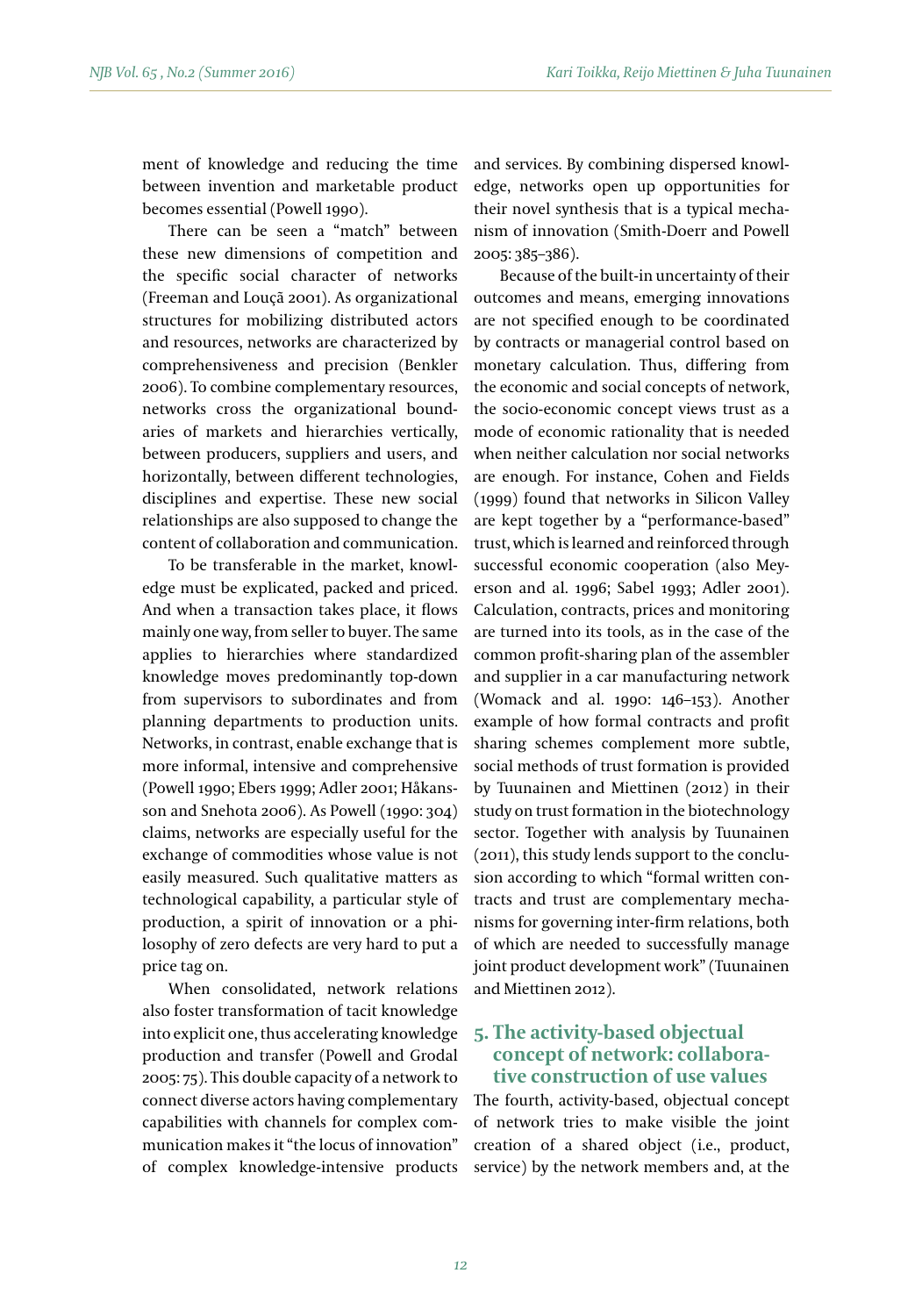ment of knowledge and reducing the time between invention and marketable product becomes essential (Powell 1990).

There can be seen a "match" between these new dimensions of competition and the specific social character of networks (Freeman and Louçã 2001). As organizational structures for mobilizing distributed actors and resources, networks are characterized by comprehensiveness and precision (Benkler 2006). To combine complementary resources, networks cross the organizational boundaries of markets and hierarchies vertically, between producers, suppliers and users, and horizontally, between different technologies, disciplines and expertise. These new social relationships are also supposed to change the content of collaboration and communication.

To be transferable in the market, knowledge must be explicated, packed and priced. And when a transaction takes place, it flows mainly one way, from seller to buyer. The same applies to hierarchies where standardized knowledge moves predominantly top-down from supervisors to subordinates and from planning departments to production units. Networks, in contrast, enable exchange that is more informal, intensive and comprehensive (Powell 1990; Ebers 1999; Adler 2001; Håkansson and Snehota 2006). As Powell (1990: 304) claims, networks are especially useful for the exchange of commodities whose value is not easily measured. Such qualitative matters as technological capability, a particular style of production, a spirit of innovation or a philosophy of zero defects are very hard to put a price tag on.

When consolidated, network relations also foster transformation of tacit knowledge into explicit one, thus accelerating knowledge production and transfer (Powell and Grodal 2005: 75). This double capacity of a network to connect diverse actors having complementary capabilities with channels for complex communication makes it "the locus of innovation" of complex knowledge-intensive products

and services. By combining dispersed knowledge, networks open up opportunities for their novel synthesis that is a typical mechanism of innovation (Smith-Doerr and Powell 2005: 385–386).

Because of the built-in uncertainty of their outcomes and means, emerging innovations are not specified enough to be coordinated by contracts or managerial control based on monetary calculation. Thus, differing from the economic and social concepts of network, the socio-economic concept views trust as a mode of economic rationality that is needed when neither calculation nor social networks are enough. For instance, Cohen and Fields (1999) found that networks in Silicon Valley are kept together by a "performance-based" trust, which is learned and reinforced through successful economic cooperation (also Meyerson and al. 1996; Sabel 1993; Adler 2001). Calculation, contracts, prices and monitoring are turned into its tools, as in the case of the common profit-sharing plan of the assembler and supplier in a car manufacturing network (Womack and al. 1990: 146–153). Another example of how formal contracts and profit sharing schemes complement more subtle, social methods of trust formation is provided by Tuunainen and Miettinen (2012) in their study on trust formation in the biotechnology sector. Together with analysis by Tuunainen (2011), this study lends support to the conclusion according to which "formal written contracts and trust are complementary mechanisms for governing inter-firm relations, both of which are needed to successfully manage joint product development work" (Tuunainen and Miettinen 2012).

# **5. The activity-based objectual concept of network: collaborative construction of use values**

The fourth, activity-based, objectual concept of network tries to make visible the joint creation of a shared object (i.e., product, service) by the network members and, at the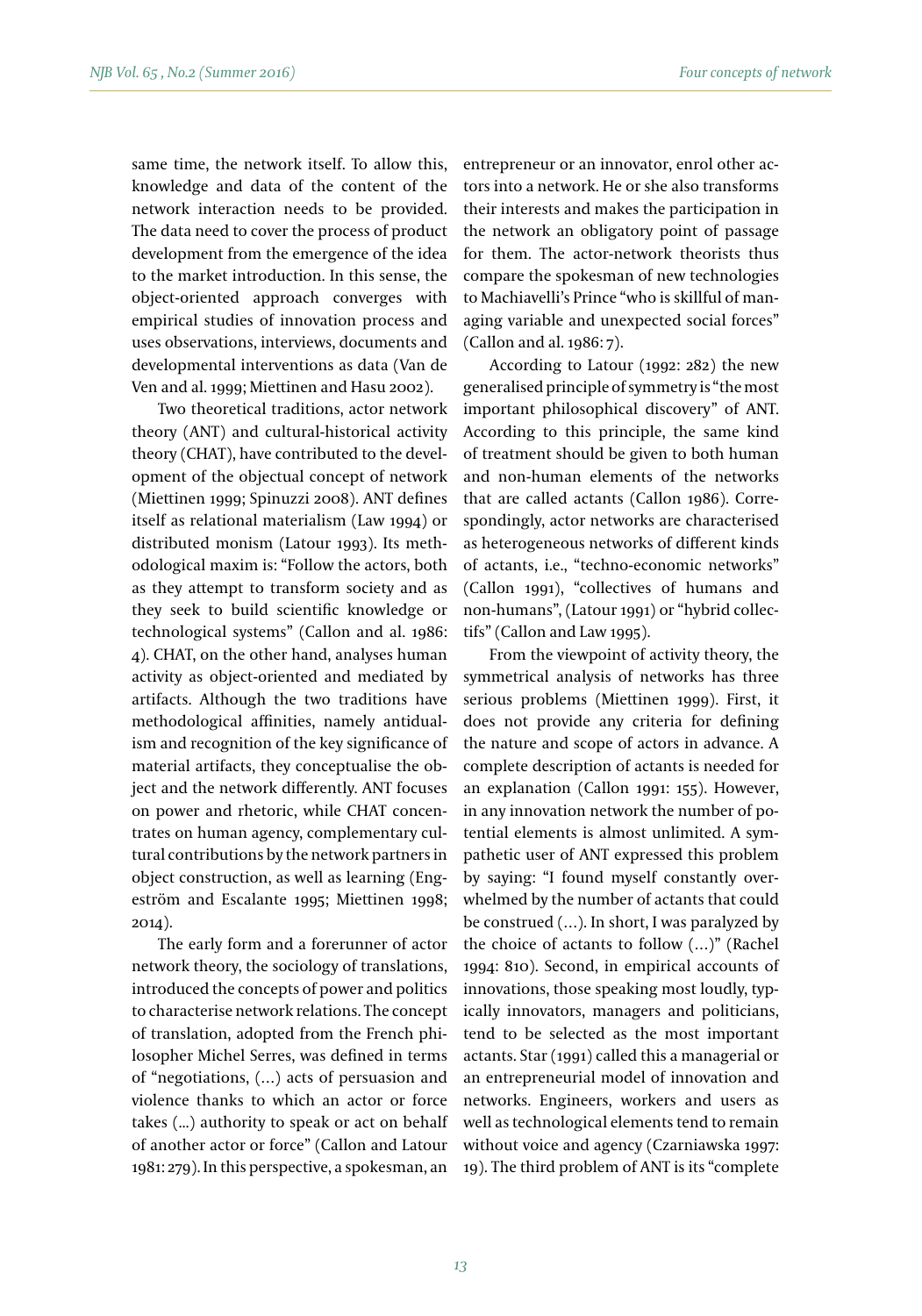same time, the network itself. To allow this, knowledge and data of the content of the network interaction needs to be provided. The data need to cover the process of product development from the emergence of the idea to the market introduction. In this sense, the object-oriented approach converges with empirical studies of innovation process and uses observations, interviews, documents and developmental interventions as data (Van de Ven and al. 1999; Miettinen and Hasu 2002).

Two theoretical traditions, actor network theory (ANT) and cultural-historical activity theory (CHAT), have contributed to the development of the objectual concept of network (Miettinen 1999; Spinuzzi 2008). ANT defines itself as relational materialism (Law 1994) or distributed monism (Latour 1993). Its methodological maxim is: "Follow the actors, both as they attempt to transform society and as they seek to build scientific knowledge or technological systems" (Callon and al. 1986: 4). CHAT, on the other hand, analyses human activity as object-oriented and mediated by artifacts. Although the two traditions have methodological affinities, namely antidualism and recognition of the key significance of material artifacts, they conceptualise the object and the network differently. ANT focuses on power and rhetoric, while CHAT concentrates on human agency, complementary cultural contributions by the network partners in object construction, as well as learning (Engeström and Escalante 1995; Miettinen 1998; 2014).

The early form and a forerunner of actor network theory, the sociology of translations, introduced the concepts of power and politics to characterise network relations. The concept of translation, adopted from the French philosopher Michel Serres, was defined in terms of "negotiations, (…) acts of persuasion and violence thanks to which an actor or force takes (...) authority to speak or act on behalf of another actor or force" (Callon and Latour 1981: 279). In this perspective, a spokesman, an entrepreneur or an innovator, enrol other actors into a network. He or she also transforms their interests and makes the participation in the network an obligatory point of passage for them. The actor-network theorists thus compare the spokesman of new technologies to Machiavelli's Prince "who is skillful of managing variable and unexpected social forces" (Callon and al. 1986: 7).

According to Latour (1992: 282) the new generalised principle of symmetry is "the most important philosophical discovery" of ANT. According to this principle, the same kind of treatment should be given to both human and non-human elements of the networks that are called actants (Callon 1986). Correspondingly, actor networks are characterised as heterogeneous networks of different kinds of actants, i.e., "techno-economic networks" (Callon 1991), "collectives of humans and non-humans", (Latour 1991) or "hybrid collectifs" (Callon and Law 1995).

From the viewpoint of activity theory, the symmetrical analysis of networks has three serious problems (Miettinen 1999). First, it does not provide any criteria for defining the nature and scope of actors in advance. A complete description of actants is needed for an explanation (Callon 1991: 155). However, in any innovation network the number of potential elements is almost unlimited. A sympathetic user of ANT expressed this problem by saying: "I found myself constantly overwhelmed by the number of actants that could be construed (…). In short, I was paralyzed by the choice of actants to follow (…)" (Rachel 1994: 810). Second, in empirical accounts of innovations, those speaking most loudly, typically innovators, managers and politicians, tend to be selected as the most important actants. Star (1991) called this a managerial or an entrepreneurial model of innovation and networks. Engineers, workers and users as well as technological elements tend to remain without voice and agency (Czarniawska 1997: 19). The third problem of ANT is its "complete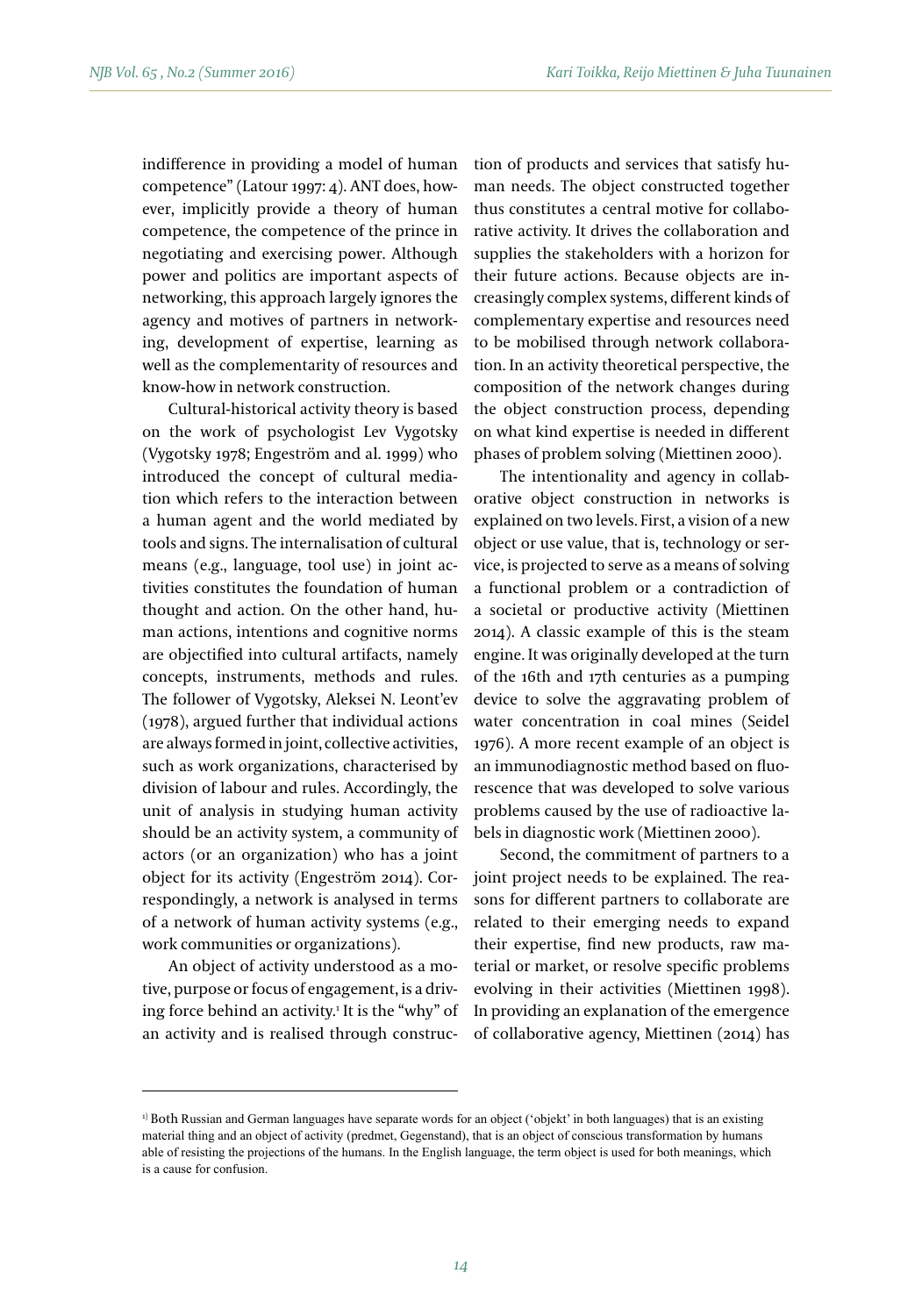indifference in providing a model of human competence" (Latour 1997: 4). ANT does, however, implicitly provide a theory of human competence, the competence of the prince in negotiating and exercising power. Although power and politics are important aspects of networking, this approach largely ignores the agency and motives of partners in networking, development of expertise, learning as well as the complementarity of resources and know-how in network construction.

Cultural-historical activity theory is based on the work of psychologist Lev Vygotsky (Vygotsky 1978; Engeström and al. 1999) who introduced the concept of cultural mediation which refers to the interaction between a human agent and the world mediated by tools and signs. The internalisation of cultural means (e.g., language, tool use) in joint activities constitutes the foundation of human thought and action. On the other hand, human actions, intentions and cognitive norms are objectified into cultural artifacts, namely concepts, instruments, methods and rules. The follower of Vygotsky, Aleksei N. Leont'ev (1978), argued further that individual actions are always formed in joint, collective activities, such as work organizations, characterised by division of labour and rules. Accordingly, the unit of analysis in studying human activity should be an activity system, a community of actors (or an organization) who has a joint object for its activity (Engeström 2014). Correspondingly, a network is analysed in terms of a network of human activity systems (e.g., work communities or organizations).

An object of activity understood as a motive, purpose or focus of engagement, is a driving force behind an activity.1 It is the "why" of an activity and is realised through construction of products and services that satisfy human needs. The object constructed together thus constitutes a central motive for collaborative activity. It drives the collaboration and supplies the stakeholders with a horizon for their future actions. Because objects are increasingly complex systems, different kinds of complementary expertise and resources need to be mobilised through network collaboration. In an activity theoretical perspective, the composition of the network changes during the object construction process, depending on what kind expertise is needed in different phases of problem solving (Miettinen 2000).

The intentionality and agency in collaborative object construction in networks is explained on two levels. First, a vision of a new object or use value, that is, technology or service, is projected to serve as a means of solving a functional problem or a contradiction of a societal or productive activity (Miettinen 2014). A classic example of this is the steam engine. It was originally developed at the turn of the 16th and 17th centuries as a pumping device to solve the aggravating problem of water concentration in coal mines (Seidel 1976). A more recent example of an object is an immunodiagnostic method based on fluorescence that was developed to solve various problems caused by the use of radioactive labels in diagnostic work (Miettinen 2000).

Second, the commitment of partners to a joint project needs to be explained. The reasons for different partners to collaborate are related to their emerging needs to expand their expertise, find new products, raw material or market, or resolve specific problems evolving in their activities (Miettinen 1998). In providing an explanation of the emergence of collaborative agency, Miettinen (2014) has

<sup>1)</sup> Both Russian and German languages have separate words for an object ('objekt' in both languages) that is an existing material thing and an object of activity (predmet, Gegenstand), that is an object of conscious transformation by humans able of resisting the projections of the humans. In the English language, the term object is used for both meanings, which is a cause for confusion.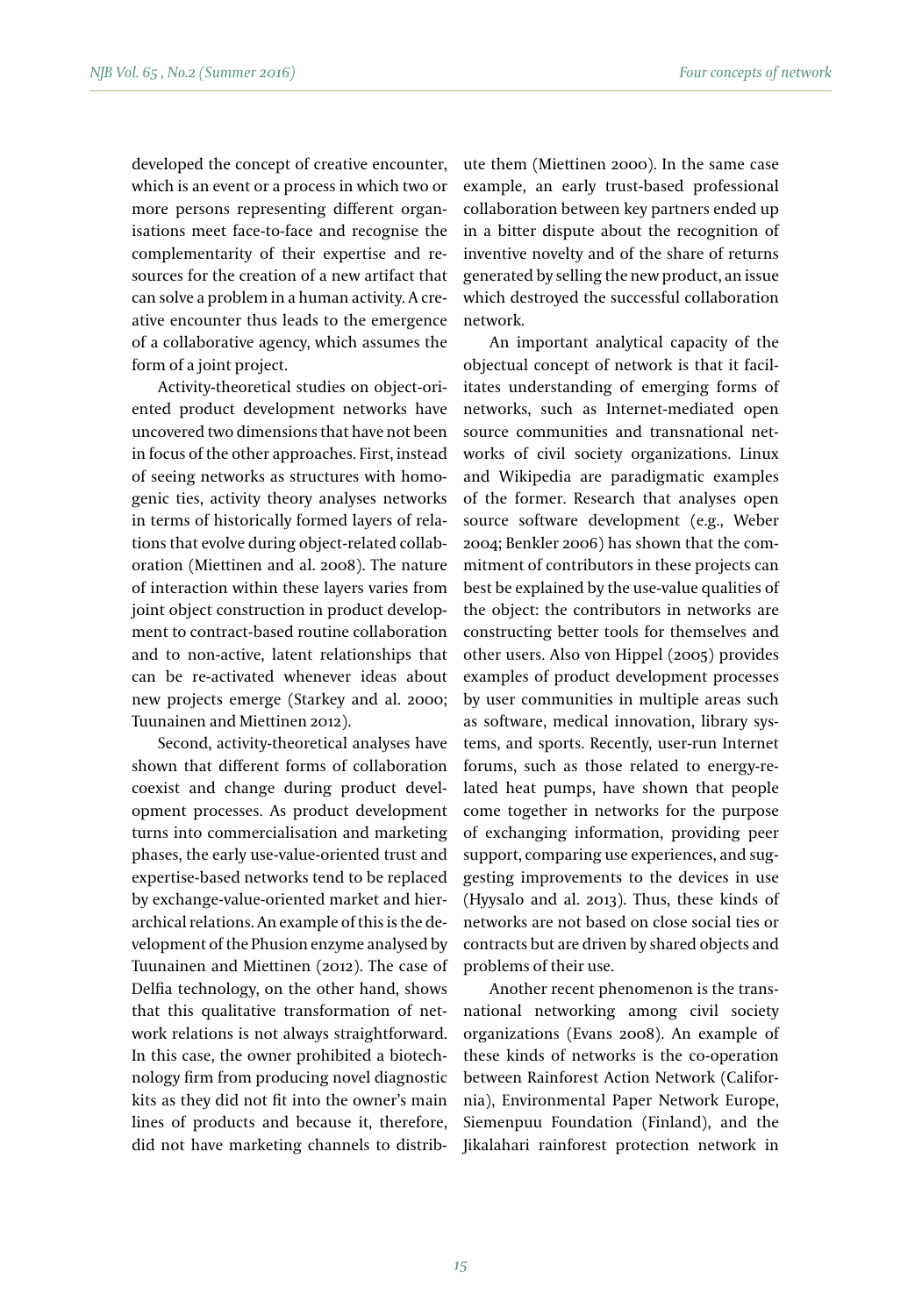developed the concept of creative encounter, which is an event or a process in which two or more persons representing different organisations meet face-to-face and recognise the complementarity of their expertise and resources for the creation of a new artifact that can solve a problem in a human activity. A creative encounter thus leads to the emergence of a collaborative agency, which assumes the form of a joint project.

Activity-theoretical studies on object-oriented product development networks have uncovered two dimensions that have not been in focus of the other approaches. First, instead of seeing networks as structures with homogenic ties, activity theory analyses networks in terms of historically formed layers of relations that evolve during object-related collaboration (Miettinen and al. 2008). The nature of interaction within these layers varies from joint object construction in product development to contract-based routine collaboration and to non-active, latent relationships that can be re-activated whenever ideas about new projects emerge (Starkey and al. 2000; Tuunainen and Miettinen 2012).

Second, activity-theoretical analyses have shown that different forms of collaboration coexist and change during product development processes. As product development turns into commercialisation and marketing phases, the early use-value-oriented trust and expertise-based networks tend to be replaced by exchange-value-oriented market and hierarchical relations. An example of this is the development of the Phusion enzyme analysed by Tuunainen and Miettinen (2012). The case of Delfia technology, on the other hand, shows that this qualitative transformation of network relations is not always straightforward. In this case, the owner prohibited a biotechnology firm from producing novel diagnostic kits as they did not fit into the owner's main lines of products and because it, therefore, did not have marketing channels to distrib-

ute them (Miettinen 2000). In the same case example, an early trust-based professional collaboration between key partners ended up in a bitter dispute about the recognition of inventive novelty and of the share of returns generated by selling the new product, an issue which destroyed the successful collaboration network.

An important analytical capacity of the objectual concept of network is that it facilitates understanding of emerging forms of networks, such as Internet-mediated open source communities and transnational networks of civil society organizations. Linux and Wikipedia are paradigmatic examples of the former. Research that analyses open source software development (e.g., Weber 2004; Benkler 2006) has shown that the commitment of contributors in these projects can best be explained by the use-value qualities of the object: the contributors in networks are constructing better tools for themselves and other users. Also von Hippel (2005) provides examples of product development processes by user communities in multiple areas such as software, medical innovation, library systems, and sports. Recently, user-run Internet forums, such as those related to energy-related heat pumps, have shown that people come together in networks for the purpose of exchanging information, providing peer support, comparing use experiences, and suggesting improvements to the devices in use (Hyysalo and al. 2013). Thus, these kinds of networks are not based on close social ties or contracts but are driven by shared objects and problems of their use.

Another recent phenomenon is the transnational networking among civil society organizations (Evans 2008). An example of these kinds of networks is the co-operation between Rainforest Action Network (California), Environmental Paper Network Europe, Siemenpuu Foundation (Finland), and the Jikalahari rainforest protection network in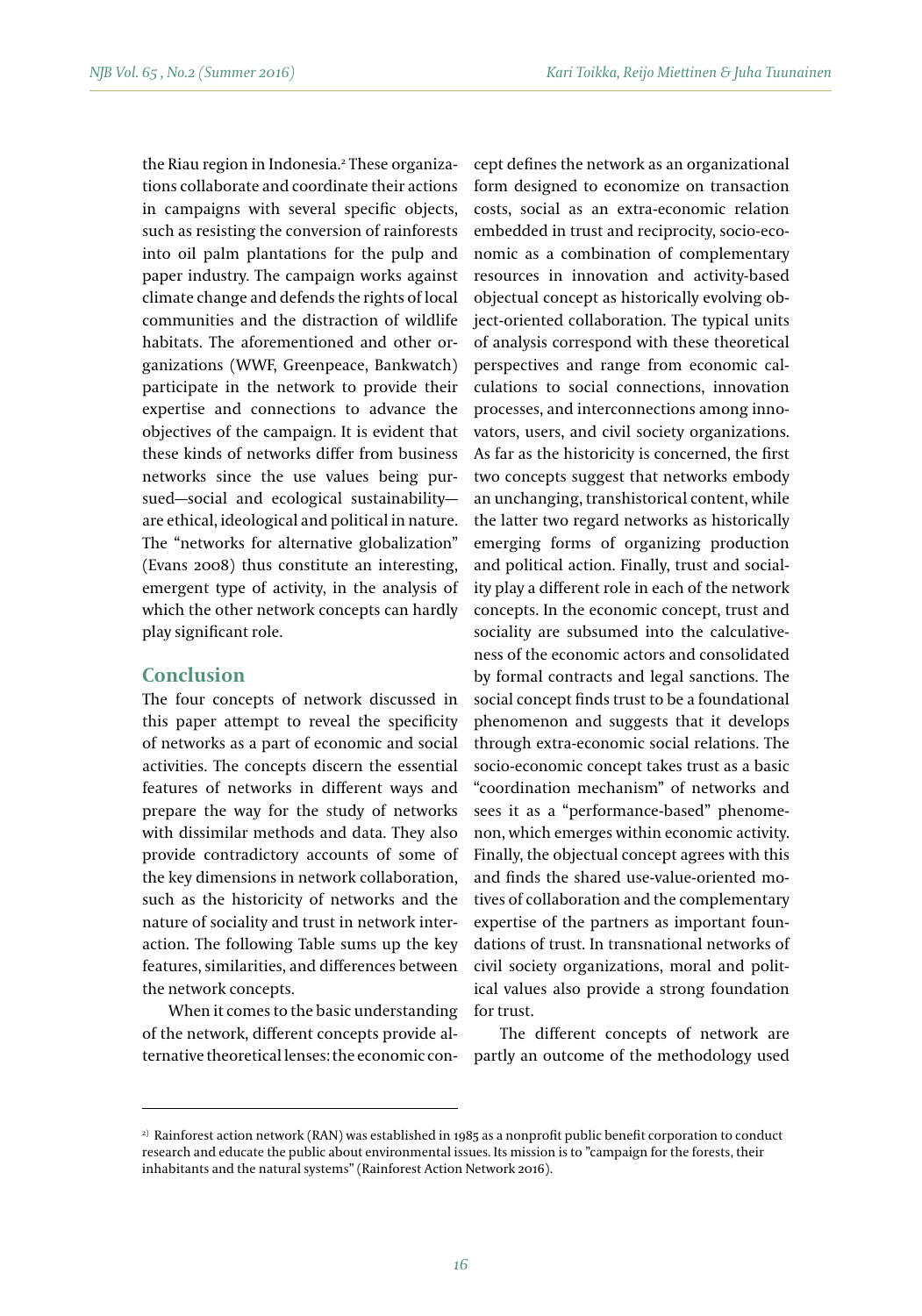the Riau region in Indonesia.<del>'</del> These organizations collaborate and coordinate their actions in campaigns with several specific objects, such as resisting the conversion of rainforests into oil palm plantations for the pulp and paper industry. The campaign works against climate change and defends the rights of local communities and the distraction of wildlife habitats. The aforementioned and other organizations (WWF, Greenpeace, Bankwatch) participate in the network to provide their expertise and connections to advance the objectives of the campaign. It is evident that these kinds of networks differ from business networks since the use values being pursued—social and ecological sustainability are ethical, ideological and political in nature. The "networks for alternative globalization" (Evans 2008) thus constitute an interesting, emergent type of activity, in the analysis of which the other network concepts can hardly play significant role.

### **Conclusion**

The four concepts of network discussed in this paper attempt to reveal the specificity of networks as a part of economic and social activities. The concepts discern the essential features of networks in different ways and prepare the way for the study of networks with dissimilar methods and data. They also provide contradictory accounts of some of the key dimensions in network collaboration, such as the historicity of networks and the nature of sociality and trust in network interaction. The following Table sums up the key features, similarities, and differences between the network concepts.

When it comes to the basic understanding of the network, different concepts provide alternative theoretical lenses: the economic concept defines the network as an organizational form designed to economize on transaction costs, social as an extra-economic relation embedded in trust and reciprocity, socio-economic as a combination of complementary resources in innovation and activity-based objectual concept as historically evolving object-oriented collaboration. The typical units of analysis correspond with these theoretical perspectives and range from economic calculations to social connections, innovation processes, and interconnections among innovators, users, and civil society organizations. As far as the historicity is concerned, the first two concepts suggest that networks embody an unchanging, transhistorical content, while the latter two regard networks as historically emerging forms of organizing production and political action. Finally, trust and sociality play a different role in each of the network concepts. In the economic concept, trust and sociality are subsumed into the calculativeness of the economic actors and consolidated by formal contracts and legal sanctions. The social concept finds trust to be a foundational phenomenon and suggests that it develops through extra-economic social relations. The socio-economic concept takes trust as a basic "coordination mechanism" of networks and sees it as a "performance-based" phenomenon, which emerges within economic activity. Finally, the objectual concept agrees with this and finds the shared use-value-oriented motives of collaboration and the complementary expertise of the partners as important foundations of trust. In transnational networks of civil society organizations, moral and political values also provide a strong foundation for trust.

The different concepts of network are partly an outcome of the methodology used

<sup>&</sup>lt;sup>2)</sup> Rainforest action network (RAN) was established in 1985 as a nonprofit public benefit corporation to conduct research and educate the public about environmental issues. Its mission is to "campaign for the forests, their inhabitants and the natural systems" (Rainforest Action Network 2016).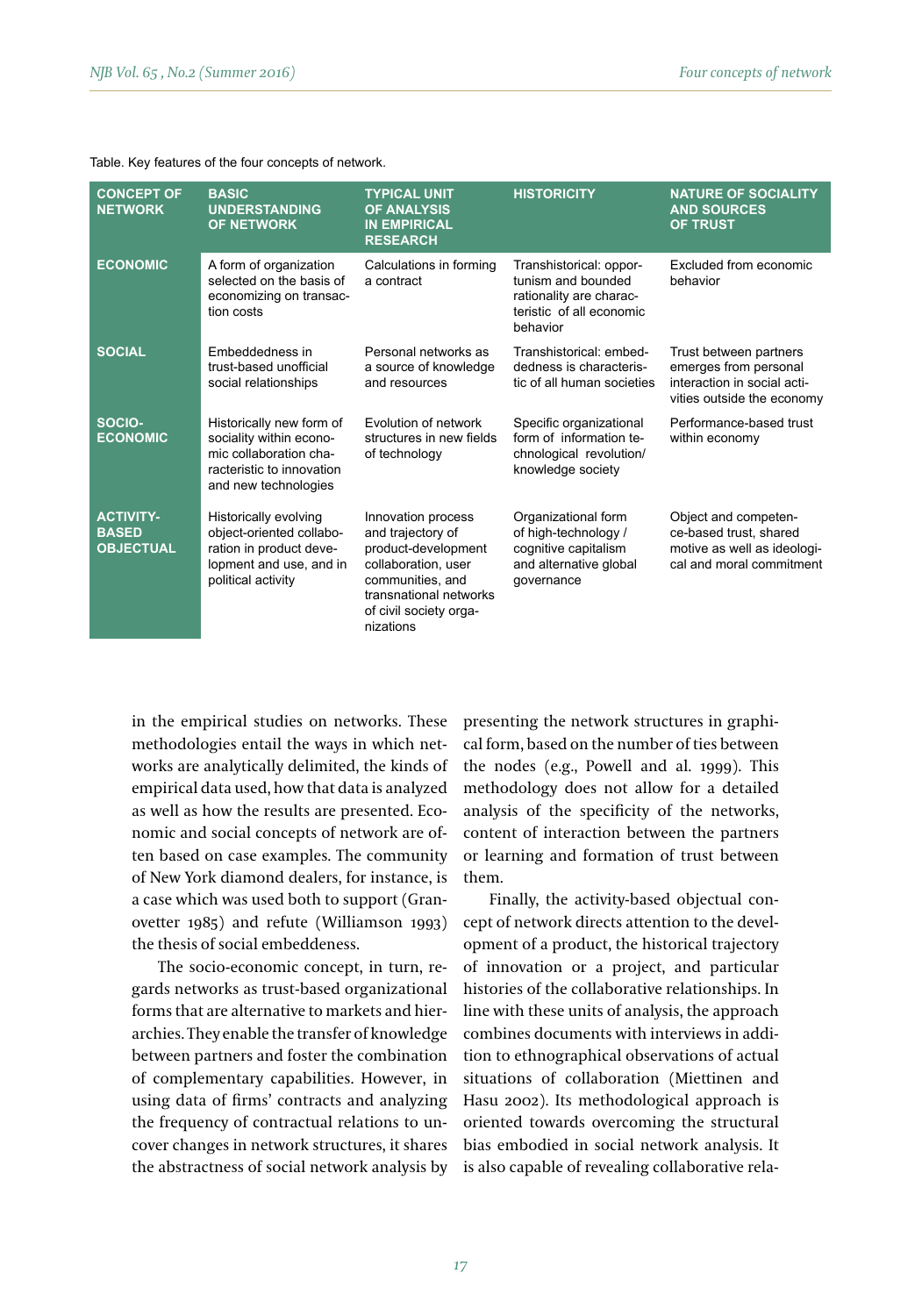|  |  | Table. Key features of the four concepts of network. |
|--|--|------------------------------------------------------|
|--|--|------------------------------------------------------|

| <b>CONCEPT OF</b><br><b>NETWORK</b>                  | <b>BASIC</b><br><b>UNDERSTANDING</b><br><b>OF NETWORK</b>                                                                          | <b>TYPICAL UNIT</b><br><b>OF ANALYSIS</b><br><b>IN EMPIRICAL</b><br><b>RESEARCH</b>                                                                                        | <b>HISTORICITY</b>                                                                                               | <b>NATURE OF SOCIALITY</b><br><b>AND SOURCES</b><br><b>OF TRUST</b>                                          |
|------------------------------------------------------|------------------------------------------------------------------------------------------------------------------------------------|----------------------------------------------------------------------------------------------------------------------------------------------------------------------------|------------------------------------------------------------------------------------------------------------------|--------------------------------------------------------------------------------------------------------------|
| <b>ECONOMIC</b>                                      | A form of organization<br>selected on the basis of<br>economizing on transac-<br>tion costs                                        | Calculations in forming<br>a contract                                                                                                                                      | Transhistorical: oppor-<br>tunism and bounded<br>rationality are charac-<br>teristic of all economic<br>behavior | Excluded from economic<br>behavior                                                                           |
| <b>SOCIAL</b>                                        | Embeddedness in<br>trust-based unofficial<br>social relationships                                                                  | Personal networks as<br>a source of knowledge<br>and resources                                                                                                             | Transhistorical: embed-<br>dedness is characteris-<br>tic of all human societies                                 | Trust between partners<br>emerges from personal<br>interaction in social acti-<br>vities outside the economy |
| SOCIO-<br><b>ECONOMIC</b>                            | Historically new form of<br>sociality within econo-<br>mic collaboration cha-<br>racteristic to innovation<br>and new technologies | Evolution of network<br>structures in new fields<br>of technology                                                                                                          | Specific organizational<br>form of information te-<br>chnological revolution/<br>knowledge society               | Performance-based trust<br>within economy                                                                    |
| <b>ACTIVITY-</b><br><b>BASED</b><br><b>OBJECTUAL</b> | Historically evolving<br>object-oriented collabo-<br>ration in product deve-<br>lopment and use, and in<br>political activity      | Innovation process<br>and trajectory of<br>product-development<br>collaboration, user<br>communities, and<br>transnational networks<br>of civil society orga-<br>nizations | Organizational form<br>of high-technology /<br>cognitive capitalism<br>and alternative global<br>qovernance      | Object and competen-<br>ce-based trust, shared<br>motive as well as ideologi-<br>cal and moral commitment    |

in the empirical studies on networks. These methodologies entail the ways in which networks are analytically delimited, the kinds of empirical data used, how that data is analyzed as well as how the results are presented. Economic and social concepts of network are often based on case examples. The community of New York diamond dealers, for instance, is a case which was used both to support (Granovetter 1985) and refute (Williamson 1993) the thesis of social embeddeness.

The socio-economic concept, in turn, regards networks as trust-based organizational forms that are alternative to markets and hierarchies. They enable the transfer of knowledge between partners and foster the combination of complementary capabilities. However, in using data of firms' contracts and analyzing the frequency of contractual relations to uncover changes in network structures, it shares the abstractness of social network analysis by

presenting the network structures in graphical form, based on the number of ties between the nodes (e.g., Powell and al. 1999). This methodology does not allow for a detailed analysis of the specificity of the networks, content of interaction between the partners or learning and formation of trust between them.

Finally, the activity-based objectual concept of network directs attention to the development of a product, the historical trajectory of innovation or a project, and particular histories of the collaborative relationships. In line with these units of analysis, the approach combines documents with interviews in addition to ethnographical observations of actual situations of collaboration (Miettinen and Hasu 2002). Its methodological approach is oriented towards overcoming the structural bias embodied in social network analysis. It is also capable of revealing collaborative rela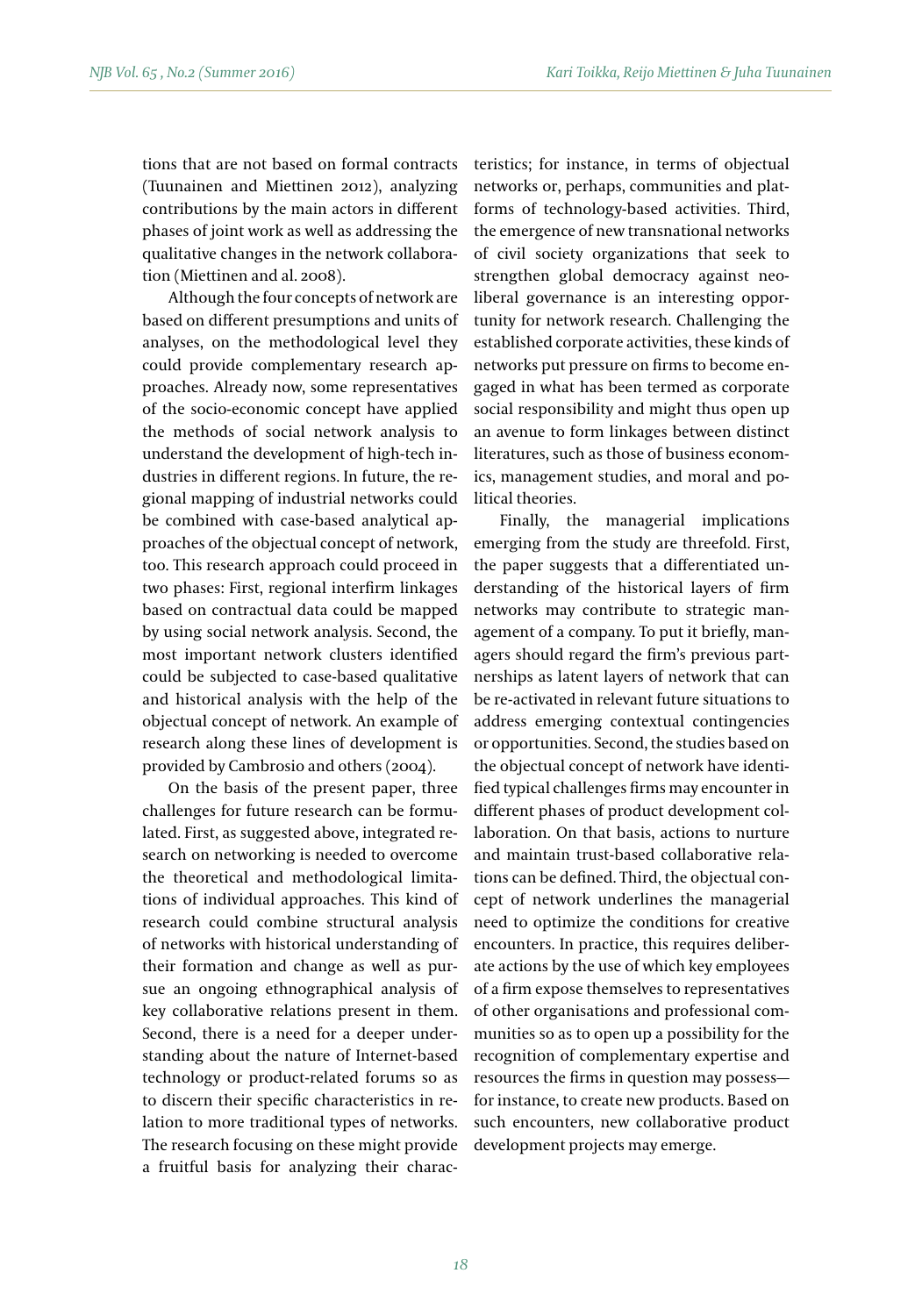tions that are not based on formal contracts (Tuunainen and Miettinen 2012), analyzing contributions by the main actors in different phases of joint work as well as addressing the qualitative changes in the network collaboration (Miettinen and al. 2008).

Although the four concepts of network are based on different presumptions and units of analyses, on the methodological level they could provide complementary research approaches. Already now, some representatives of the socio-economic concept have applied the methods of social network analysis to understand the development of high-tech industries in different regions. In future, the regional mapping of industrial networks could be combined with case-based analytical approaches of the objectual concept of network, too. This research approach could proceed in two phases: First, regional interfirm linkages based on contractual data could be mapped by using social network analysis. Second, the most important network clusters identified could be subjected to case-based qualitative and historical analysis with the help of the objectual concept of network. An example of research along these lines of development is provided by Cambrosio and others (2004).

On the basis of the present paper, three challenges for future research can be formulated. First, as suggested above, integrated research on networking is needed to overcome the theoretical and methodological limitations of individual approaches. This kind of research could combine structural analysis of networks with historical understanding of their formation and change as well as pursue an ongoing ethnographical analysis of key collaborative relations present in them. Second, there is a need for a deeper understanding about the nature of Internet-based technology or product-related forums so as to discern their specific characteristics in relation to more traditional types of networks. The research focusing on these might provide a fruitful basis for analyzing their characteristics; for instance, in terms of objectual networks or, perhaps, communities and platforms of technology-based activities. Third, the emergence of new transnational networks of civil society organizations that seek to strengthen global democracy against neoliberal governance is an interesting opportunity for network research. Challenging the established corporate activities, these kinds of networks put pressure on firms to become engaged in what has been termed as corporate social responsibility and might thus open up an avenue to form linkages between distinct literatures, such as those of business economics, management studies, and moral and political theories.

Finally, the managerial implications emerging from the study are threefold. First, the paper suggests that a differentiated understanding of the historical layers of firm networks may contribute to strategic management of a company. To put it briefly, managers should regard the firm's previous partnerships as latent layers of network that can be re-activated in relevant future situations to address emerging contextual contingencies or opportunities. Second, the studies based on the objectual concept of network have identified typical challenges firms may encounter in different phases of product development collaboration. On that basis, actions to nurture and maintain trust-based collaborative relations can be defined. Third, the objectual concept of network underlines the managerial need to optimize the conditions for creative encounters. In practice, this requires deliberate actions by the use of which key employees of a firm expose themselves to representatives of other organisations and professional communities so as to open up a possibility for the recognition of complementary expertise and resources the firms in question may possess for instance, to create new products. Based on such encounters, new collaborative product development projects may emerge.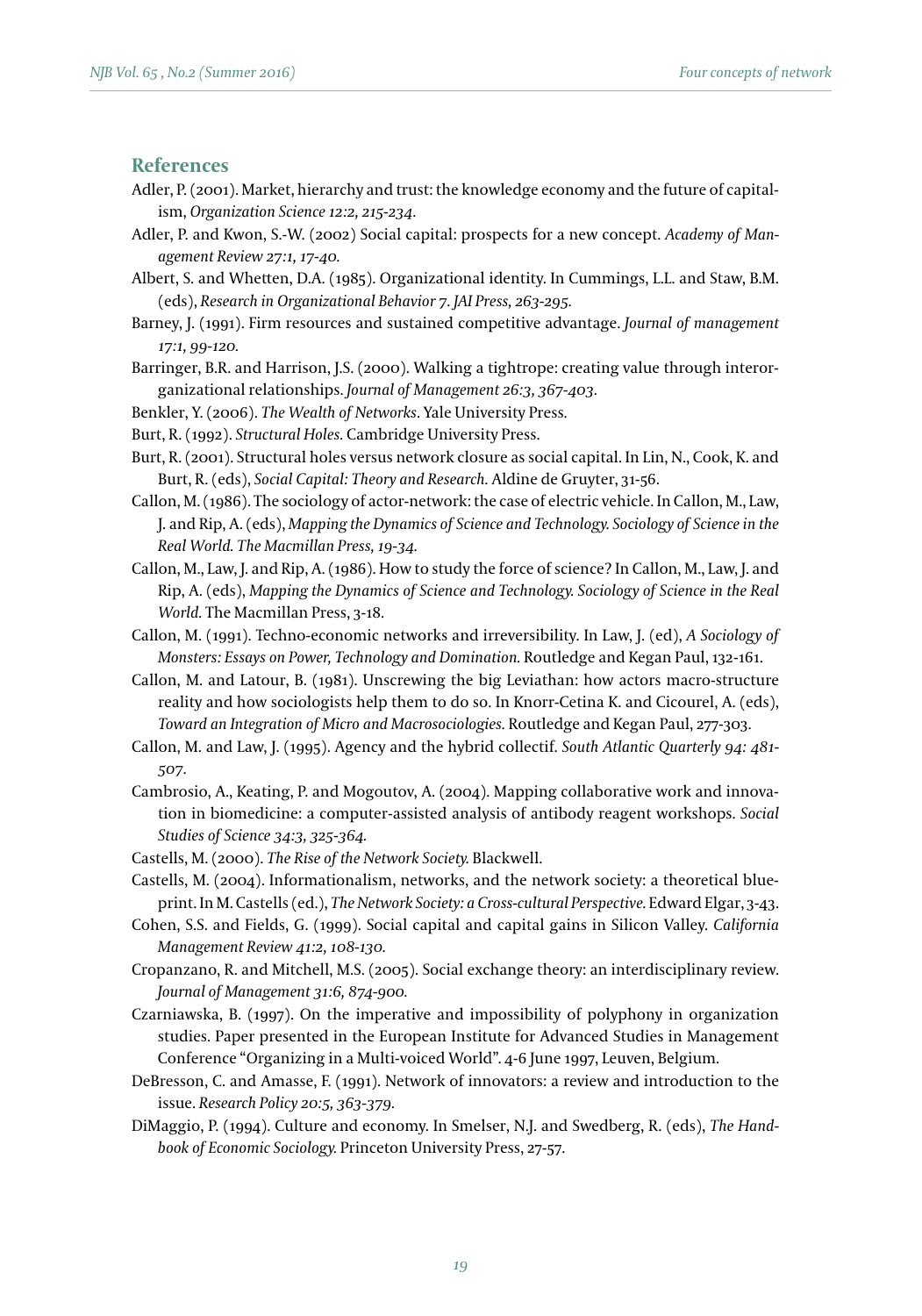### **References**

- Adler, P. (2001). Market, hierarchy and trust: the knowledge economy and the future of capitalism, *Organization Science 12:2, 215-234*.
- Adler, P. and Kwon, S.-W. (2002) Social capital: prospects for a new concept. *Academy of Management Review 27:1, 17-40.*
- Albert, S. and Whetten, D.A. (1985). Organizational identity. In Cummings, L.L. and Staw, B.M. (eds), *Research in Organizational Behavior 7. JAI Press, 263-295.*
- Barney, J. (1991). Firm resources and sustained competitive advantage. *Journal of management 17:1, 99-120.*
- Barringer, B.R. and Harrison, J.S. (2000). Walking a tightrope: creating value through interorganizational relationships. *Journal of Management 26:3, 367-403.*
- Benkler, Y. (2006). *The Wealth of Networks*. Yale University Press.
- Burt, R. (1992). *Structural Holes.* Cambridge University Press.
- Burt, R. (2001). Structural holes versus network closure as social capital. In Lin, N., Cook, K. and Burt, R. (eds), *Social Capital: Theory and Research.* Aldine de Gruyter, 31-56.
- Callon, M. (1986). The sociology of actor-network: the case of electric vehicle. In Callon, M., Law, J. and Rip, A. (eds), *Mapping the Dynamics of Science and Technology. Sociology of Science in the Real World. The Macmillan Press, 19-34.*
- Callon, M., Law, J. and Rip, A. (1986). How to study the force of science? In Callon, M., Law, J. and Rip, A. (eds), *Mapping the Dynamics of Science and Technology. Sociology of Science in the Real World.* The Macmillan Press, 3-18.
- Callon, M. (1991). Techno-economic networks and irreversibility. In Law, J. (ed), *A Sociology of Monsters: Essays on Power, Technology and Domination.* Routledge and Kegan Paul, 132-161.
- Callon, M. and Latour, B. (1981). Unscrewing the big Leviathan: how actors macro-structure reality and how sociologists help them to do so. In Knorr-Cetina K. and Cicourel, A. (eds), *Toward an Integration of Micro and Macrosociologies.* Routledge and Kegan Paul, 277-303.
- Callon, M. and Law, J. (1995). Agency and the hybrid collectif. *South Atlantic Quarterly 94: 481- 507.*
- Cambrosio, A., Keating, P. and Mogoutov, A. (2004). Mapping collaborative work and innovation in biomedicine: a computer-assisted analysis of antibody reagent workshops. *Social Studies of Science 34:3, 325-364.*
- Castells, M. (2000). *The Rise of the Network Society.* Blackwell.
- Castells, M. (2004). Informationalism, networks, and the network society: a theoretical blueprint. In M. Castells (ed.), *The Network Society: a Cross-cultural Perspective.* Edward Elgar, 3-43.
- Cohen, S.S. and Fields, G. (1999). Social capital and capital gains in Silicon Valley. *California Management Review 41:2, 108-130.*
- Cropanzano, R. and Mitchell, M.S. (2005). Social exchange theory: an interdisciplinary review. *Journal of Management 31:6, 874-900.*
- Czarniawska, B. (1997). On the imperative and impossibility of polyphony in organization studies. Paper presented in the European Institute for Advanced Studies in Management Conference "Organizing in a Multi-voiced World". 4-6 June 1997, Leuven, Belgium.
- DeBresson, C. and Amasse, F. (1991). Network of innovators: a review and introduction to the issue. *Research Policy 20:5, 363-379.*
- DiMaggio, P. (1994). Culture and economy. In Smelser, N.J. and Swedberg, R. (eds), *The Handbook of Economic Sociology.* Princeton University Press, 27-57.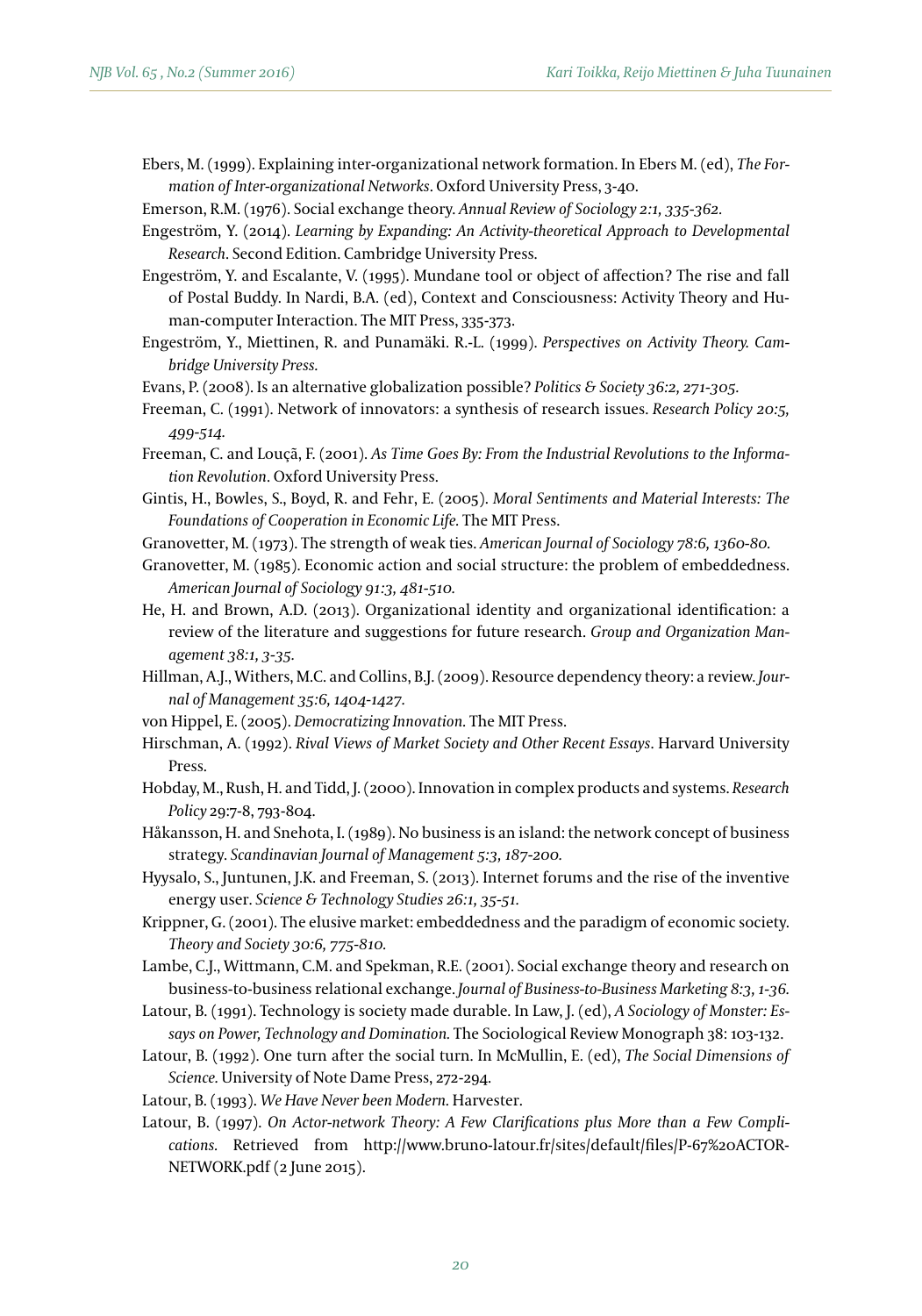Ebers, M. (1999). Explaining inter-organizational network formation. In Ebers M. (ed), *The Formation of Inter-organizational Networks*. Oxford University Press, 3-40.

Emerson, R.M. (1976). Social exchange theory. *Annual Review of Sociology 2:1, 335-362.*

- Engeström, Y. (2014). *Learning by Expanding: An Activity-theoretical Approach to Developmental Research*. Second Edition. Cambridge University Press.
- Engeström, Y. and Escalante, V. (1995). Mundane tool or object of affection? The rise and fall of Postal Buddy. In Nardi, B.A. (ed), Context and Consciousness: Activity Theory and Human-computer Interaction. The MIT Press, 335-373.
- Engeström, Y., Miettinen, R. and Punamäki. R.-L. (1999). *Perspectives on Activity Theory. Cambridge University Press.*
- Evans, P. (2008). Is an alternative globalization possible? *Politics & Society 36:2, 271-305.*
- Freeman, C. (1991). Network of innovators: a synthesis of research issues. *Research Policy 20:5, 499-514.*
- Freeman, C. and Louçã, F. (2001). *As Time Goes By: From the Industrial Revolutions to the Information Revolution*. Oxford University Press.
- Gintis, H., Bowles, S., Boyd, R. and Fehr, E. (2005). *Moral Sentiments and Material Interests: The Foundations of Cooperation in Economic Life.* The MIT Press.
- Granovetter, M. (1973). The strength of weak ties. *American Journal of Sociology 78:6, 1360-80.*
- Granovetter, M. (1985). Economic action and social structure: the problem of embeddedness. *American Journal of Sociology 91:3, 481-510.*
- He, H. and Brown, A.D. (2013). Organizational identity and organizational identification: a review of the literature and suggestions for future research. *Group and Organization Management 38:1, 3-35.*
- Hillman, A.J., Withers, M.C. and Collins, B.J. (2009). Resource dependency theory: a review. *Journal of Management 35:6, 1404-1427.*
- von Hippel, E. (2005). *Democratizing Innovation.* The MIT Press.
- Hirschman, A. (1992). *Rival Views of Market Society and Other Recent Essays*. Harvard University Press.
- Hobday, M., Rush, H. and Tidd, J. (2000). Innovation in complex products and systems. *Research Policy* 29:7-8, 793-804.
- Håkansson, H. and Snehota, I. (1989). No business is an island: the network concept of business strategy. *Scandinavian Journal of Management 5:3, 187-200.*
- Hyysalo, S., Juntunen, J.K. and Freeman, S. (2013). Internet forums and the rise of the inventive energy user. *Science & Technology Studies 26:1, 35-51.*
- Krippner, G. (2001). The elusive market: embeddedness and the paradigm of economic society. *Theory and Society 30:6, 775-810.*
- Lambe, C.J., Wittmann, C.M. and Spekman, R.E. (2001). Social exchange theory and research on business-to-business relational exchange. *Journal of Business-to-Business Marketing 8:3, 1-36.*
- Latour, B. (1991). Technology is society made durable. In Law, J. (ed), *A Sociology of Monster: Essays on Power, Technology and Domination.* The Sociological Review Monograph 38: 103-132.
- Latour, B. (1992). One turn after the social turn. In McMullin, E. (ed), *The Social Dimensions of Science.* University of Note Dame Press, 272-294.
- Latour, B. (1993). *We Have Never been Modern.* Harvester.
- Latour, B. (1997). *On Actor-network Theory: A Few Clarifications plus More than a Few Complications.* Retrieved from http://www.bruno-latour.fr/sites/default/files/P-67%20ACTOR-NETWORK.pdf (2 June 2015).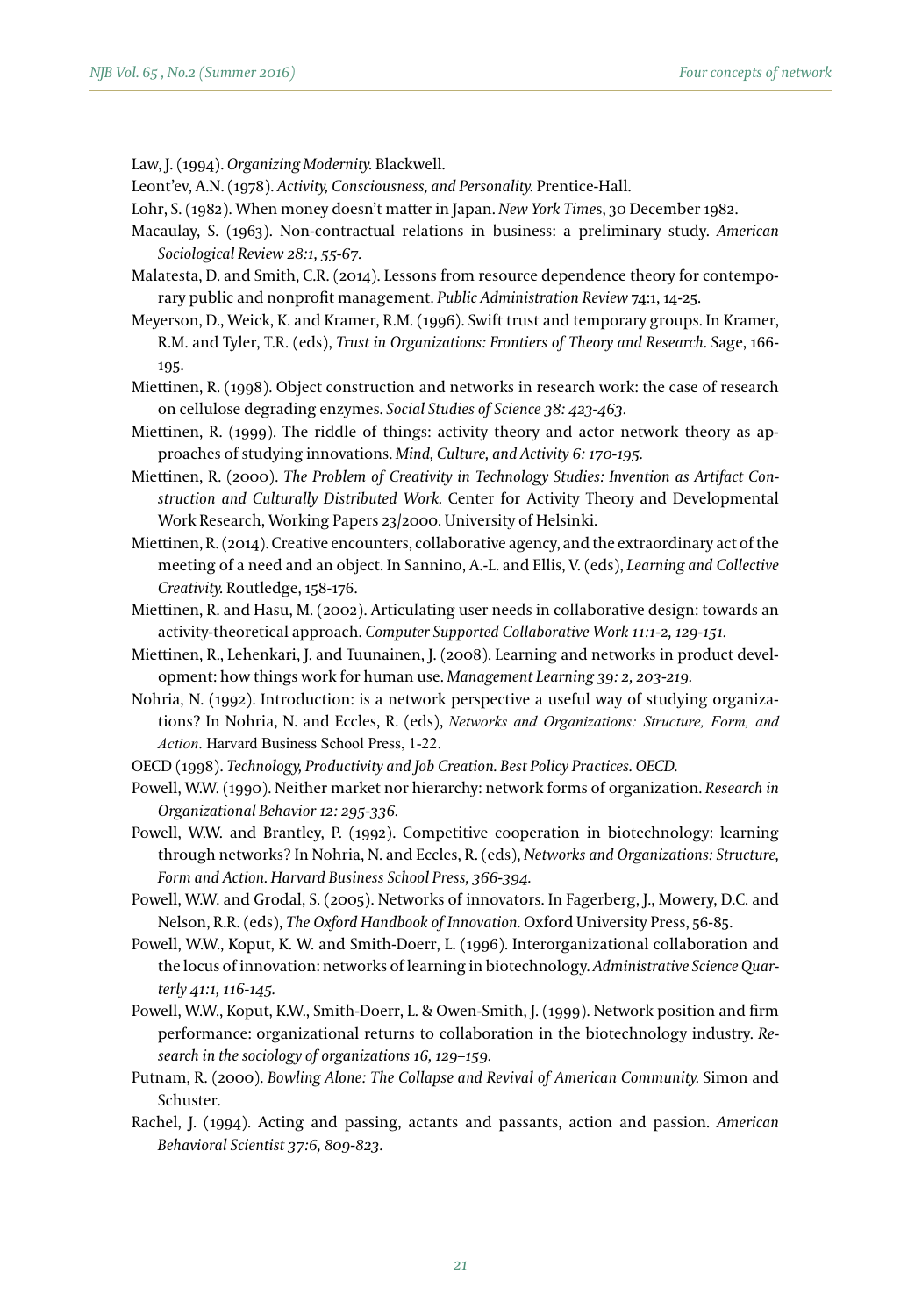Law, J. (1994). *Organizing Modernity.* Blackwell.

Leont'ev, A.N. (1978). *Activity, Consciousness, and Personality.* Prentice-Hall.

Lohr, S. (1982). When money doesn't matter in Japan. *New York Time*s, 30 December 1982.

- Macaulay, S. (1963). Non-contractual relations in business: a preliminary study. *American Sociological Review 28:1, 55-67.*
- Malatesta, D. and Smith, C.R. (2014). Lessons from resource dependence theory for contemporary public and nonprofit management. *Public Administration Review* 74:1, 14-25.
- Meyerson, D., Weick, K. and Kramer, R.M. (1996). Swift trust and temporary groups. In Kramer, R.M. and Tyler, T.R. (eds), *Trust in Organizations: Frontiers of Theory and Research*. Sage, 166- 195.
- Miettinen, R. (1998). Object construction and networks in research work: the case of research on cellulose degrading enzymes. *Social Studies of Science 38: 423-463.*
- Miettinen, R. (1999). The riddle of things: activity theory and actor network theory as approaches of studying innovations. *Mind, Culture, and Activity 6: 170-195.*
- Miettinen, R. (2000). *The Problem of Creativity in Technology Studies: Invention as Artifact Construction and Culturally Distributed Work.* Center for Activity Theory and Developmental Work Research, Working Papers 23/2000. University of Helsinki.
- Miettinen, R. (2014). Creative encounters, collaborative agency, and the extraordinary act of the meeting of a need and an object. In Sannino, A.-L. and Ellis, V. (eds), *Learning and Collective Creativity.* Routledge, 158-176.
- Miettinen, R. and Hasu, M. (2002). Articulating user needs in collaborative design: towards an activity-theoretical approach. *Computer Supported Collaborative Work 11:1-2, 129-151.*
- Miettinen, R., Lehenkari, J. and Tuunainen, J. (2008). Learning and networks in product development: how things work for human use. *Management Learning 39: 2, 203-219.*
- Nohria, N. (1992). Introduction: is a network perspective a useful way of studying organizations? In Nohria, N. and Eccles, R. (eds), *Networks and Organizations: Structure, Form, and Action*. Harvard Business School Press, 1-22.
- OECD (1998). *Technology, Productivity and Job Creation. Best Policy Practices. OECD.*
- Powell, W.W. (1990). Neither market nor hierarchy: network forms of organization. *Research in Organizational Behavior 12: 295-336.*
- Powell, W.W. and Brantley, P. (1992). Competitive cooperation in biotechnology: learning through networks? In Nohria, N. and Eccles, R. (eds), *Networks and Organizations: Structure, Form and Action. Harvard Business School Press, 366-394.*
- Powell, W.W. and Grodal, S. (2005). Networks of innovators. In Fagerberg, J., Mowery, D.C. and Nelson, R.R. (eds), *The Oxford Handbook of Innovation.* Oxford University Press, 56-85.
- Powell, W.W., Koput, K. W. and Smith-Doerr, L. (1996). Interorganizational collaboration and the locus of innovation: networks of learning in biotechnology. *Administrative Science Quarterly 41:1, 116-145.*
- Powell, W.W., Koput, K.W., Smith-Doerr, L. & Owen-Smith, J. (1999). Network position and firm performance: organizational returns to collaboration in the biotechnology industry. *Research in the sociology of organizations 16, 129–159.*
- Putnam, R. (2000). *Bowling Alone: The Collapse and Revival of American Community.* Simon and Schuster.
- Rachel, J. (1994). Acting and passing, actants and passants, action and passion. *American Behavioral Scientist 37:6, 809-823.*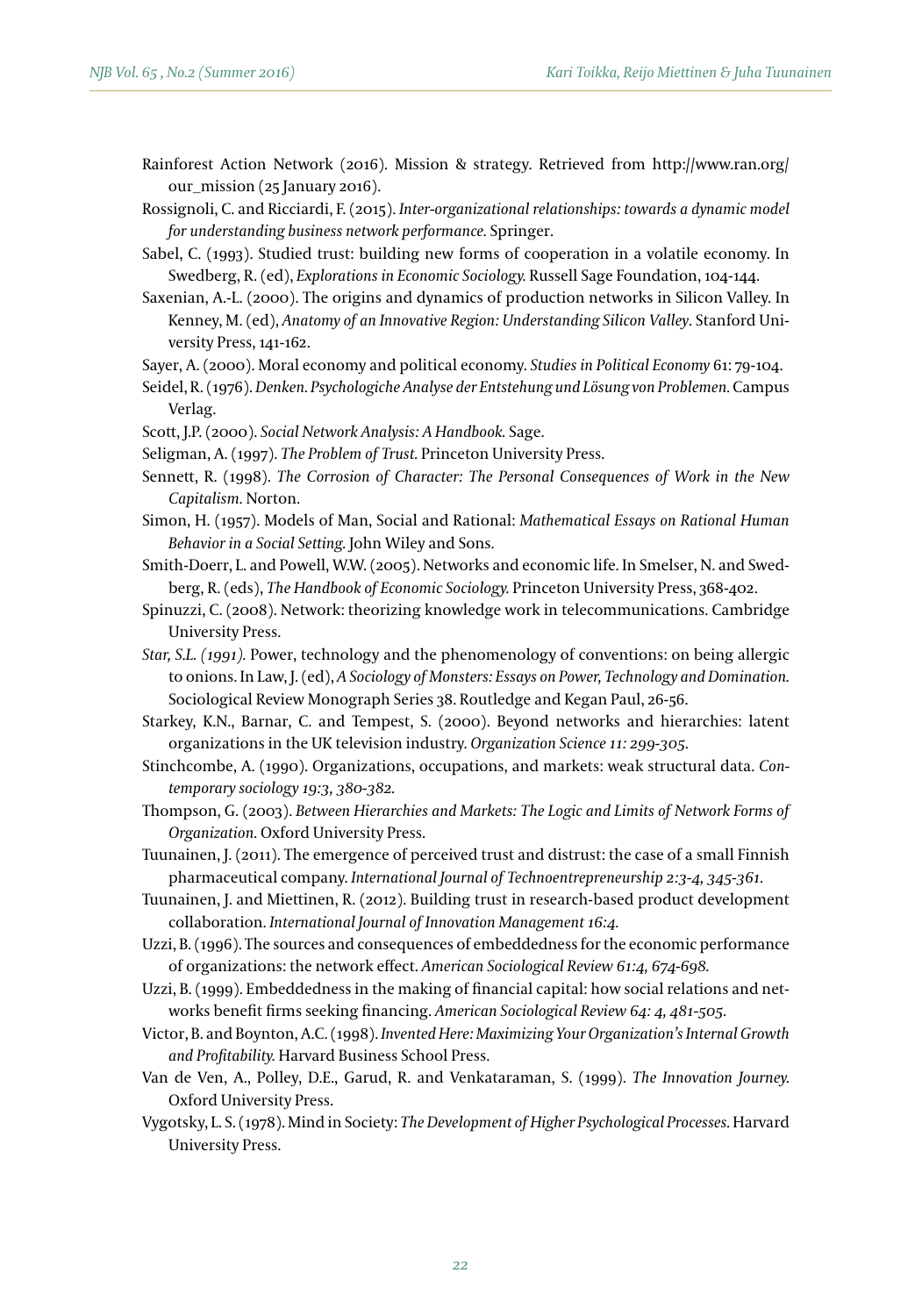Rainforest Action Network (2016). Mission & strategy. Retrieved from http://www.ran.org/ our\_mission (25 January 2016).

Rossignoli, C. and Ricciardi, F. (2015). *Inter-organizational relationships: towards a dynamic model for understanding business network performance.* Springer.

- Sabel, C. (1993). Studied trust: building new forms of cooperation in a volatile economy. In Swedberg, R. (ed), *Explorations in Economic Sociology.* Russell Sage Foundation, 104-144.
- Saxenian, A.-L. (2000). The origins and dynamics of production networks in Silicon Valley. In Kenney, M. (ed), *Anatomy of an Innovative Region: Understanding Silicon Valley*. Stanford University Press, 141-162.
- Sayer, A. (2000). Moral economy and political economy. *Studies in Political Economy* 61: 79-104.
- Seidel, R. (1976). *Denken. Psychologiche Analyse der Entstehung und Lösung von Problemen.* Campus Verlag.
- Scott, J.P. (2000). *Social Network Analysis: A Handbook.* Sage.
- Seligman, A. (1997). *The Problem of Trust.* Princeton University Press.
- Sennett, R. (1998). *The Corrosion of Character: The Personal Consequences of Work in the New Capitalism.* Norton.
- Simon, H. (1957). Models of Man, Social and Rational: *Mathematical Essays on Rational Human Behavior in a Social Setting.* John Wiley and Sons.
- Smith-Doerr, L. and Powell, W.W. (2005). Networks and economic life. In Smelser, N. and Swedberg, R. (eds), *The Handbook of Economic Sociology.* Princeton University Press, 368-402.
- Spinuzzi, C. (2008). Network: theorizing knowledge work in telecommunications. Cambridge University Press.
- *Star, S.L. (1991).* Power, technology and the phenomenology of conventions: on being allergic to onions. In Law, J. (ed), *A Sociology of Monsters: Essays on Power, Technology and Domination.*  Sociological Review Monograph Series 38. Routledge and Kegan Paul, 26-56.
- Starkey, K.N., Barnar, C. and Tempest, S. (2000). Beyond networks and hierarchies: latent organizations in the UK television industry. *Organization Science 11: 299-305.*
- Stinchcombe, A. (1990). Organizations, occupations, and markets: weak structural data. *Contemporary sociology 19:3, 380-382.*
- Thompson, G. (2003). *Between Hierarchies and Markets: The Logic and Limits of Network Forms of Organization.* Oxford University Press.
- Tuunainen, J. (2011). The emergence of perceived trust and distrust: the case of a small Finnish pharmaceutical company. *International Journal of Technoentrepreneurship 2:3-4, 345-361.*
- Tuunainen, J. and Miettinen, R. (2012). Building trust in research-based product development collaboration. *International Journal of Innovation Management 16:4.*
- Uzzi, B. (1996). The sources and consequences of embeddedness for the economic performance of organizations: the network effect. *American Sociological Review 61:4, 674-698.*
- Uzzi, B. (1999). Embeddedness in the making of financial capital: how social relations and networks benefit firms seeking financing. *American Sociological Review 64: 4, 481-505.*
- Victor, B. and Boynton, A.C. (1998). *Invented Here: Maximizing Your Organization's Internal Growth and Profitability.* Harvard Business School Press.
- Van de Ven, A., Polley, D.E., Garud, R. and Venkataraman, S. (1999). *The Innovation Journey.*  Oxford University Press.
- Vygotsky, L. S. (1978). Mind in Society: *The Development of Higher Psychological Processes.* Harvard University Press.